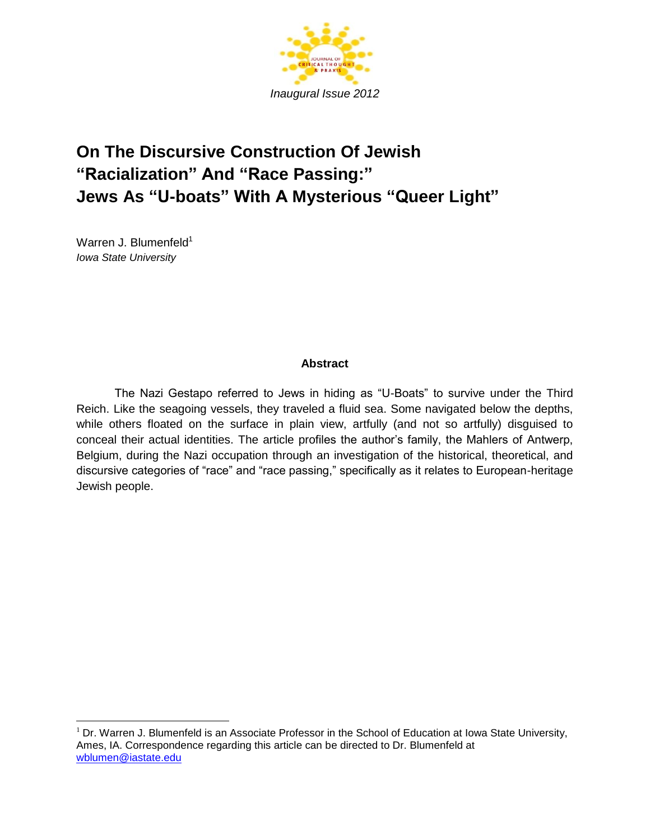

# **On The Discursive Construction Of Jewish "Racialization" And "Race Passing:" Jews As "U-boats" With A Mysterious "Queer Light"**

Warren J. Blumenfeld $1$ *Iowa State University*

 $\overline{a}$ 

# **Abstract**

The Nazi Gestapo referred to Jews in hiding as "U-Boats" to survive under the Third Reich. Like the seagoing vessels, they traveled a fluid sea. Some navigated below the depths, while others floated on the surface in plain view, artfully (and not so artfully) disguised to conceal their actual identities. The article profiles the author's family, the Mahlers of Antwerp, Belgium, during the Nazi occupation through an investigation of the historical, theoretical, and discursive categories of "race" and "race passing," specifically as it relates to European-heritage Jewish people.

 $1$  Dr. Warren J. Blumenfeld is an Associate Professor in the School of Education at Iowa State University, Ames, IA. Correspondence regarding this article can be directed to Dr. Blumenfeld at [wblumen@iastate.edu](mailto:wblumen@iastate.edu)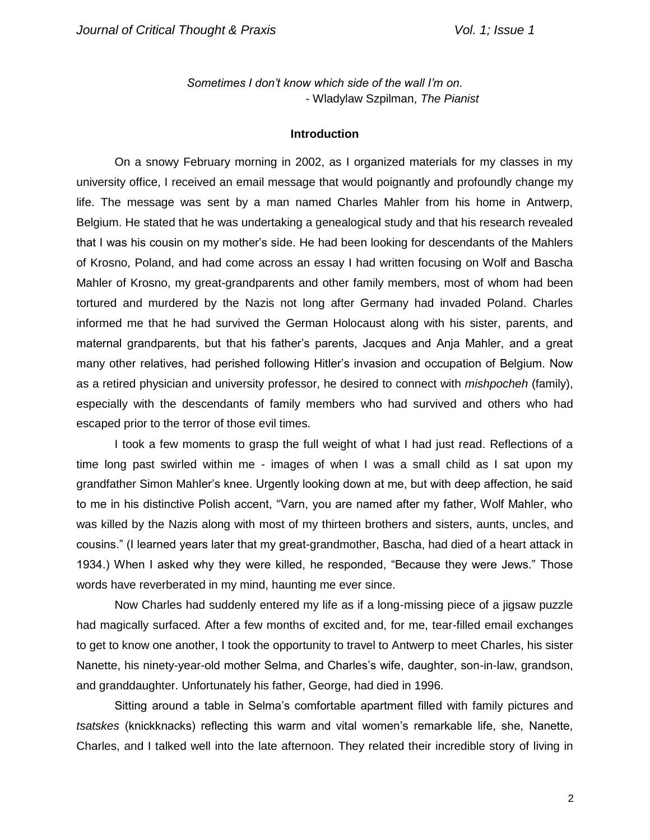*Sometimes I don't know which side of the wall I'm on.* - Wladylaw Szpilman, *The Pianist*

### **Introduction**

On a snowy February morning in 2002, as I organized materials for my classes in my university office, I received an email message that would poignantly and profoundly change my life. The message was sent by a man named Charles Mahler from his home in Antwerp, Belgium. He stated that he was undertaking a genealogical study and that his research revealed that I was his cousin on my mother's side. He had been looking for descendants of the Mahlers of Krosno, Poland, and had come across an essay I had written focusing on Wolf and Bascha Mahler of Krosno, my great-grandparents and other family members, most of whom had been tortured and murdered by the Nazis not long after Germany had invaded Poland. Charles informed me that he had survived the German Holocaust along with his sister, parents, and maternal grandparents, but that his father's parents, Jacques and Anja Mahler, and a great many other relatives, had perished following Hitler's invasion and occupation of Belgium. Now as a retired physician and university professor, he desired to connect with *mishpocheh* (family), especially with the descendants of family members who had survived and others who had escaped prior to the terror of those evil times.

I took a few moments to grasp the full weight of what I had just read. Reflections of a time long past swirled within me - images of when I was a small child as I sat upon my grandfather Simon Mahler's knee. Urgently looking down at me, but with deep affection, he said to me in his distinctive Polish accent, "Varn, you are named after my father, Wolf Mahler, who was killed by the Nazis along with most of my thirteen brothers and sisters, aunts, uncles, and cousins." (I learned years later that my great-grandmother, Bascha, had died of a heart attack in 1934.) When I asked why they were killed, he responded, "Because they were Jews." Those words have reverberated in my mind, haunting me ever since.

Now Charles had suddenly entered my life as if a long-missing piece of a jigsaw puzzle had magically surfaced. After a few months of excited and, for me, tear-filled email exchanges to get to know one another, I took the opportunity to travel to Antwerp to meet Charles, his sister Nanette, his ninety-year-old mother Selma, and Charles's wife, daughter, son-in-law, grandson, and granddaughter. Unfortunately his father, George, had died in 1996.

Sitting around a table in Selma's comfortable apartment filled with family pictures and *tsatskes* (knickknacks) reflecting this warm and vital women's remarkable life, she, Nanette, Charles, and I talked well into the late afternoon. They related their incredible story of living in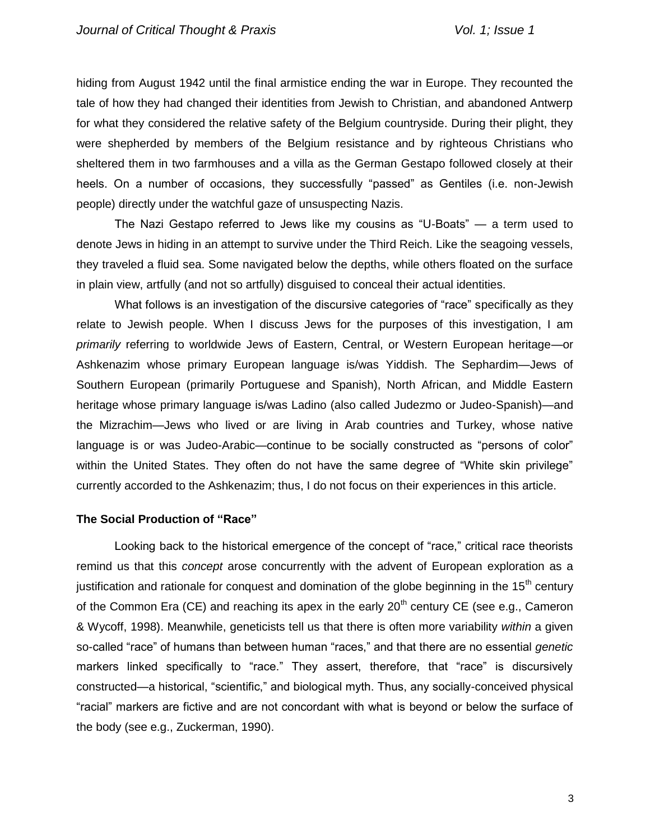hiding from August 1942 until the final armistice ending the war in Europe. They recounted the tale of how they had changed their identities from Jewish to Christian, and abandoned Antwerp for what they considered the relative safety of the Belgium countryside. During their plight, they were shepherded by members of the Belgium resistance and by righteous Christians who sheltered them in two farmhouses and a villa as the German Gestapo followed closely at their heels. On a number of occasions, they successfully "passed" as Gentiles (i.e. non-Jewish people) directly under the watchful gaze of unsuspecting Nazis.

The Nazi Gestapo referred to Jews like my cousins as "U-Boats" — a term used to denote Jews in hiding in an attempt to survive under the Third Reich. Like the seagoing vessels, they traveled a fluid sea. Some navigated below the depths, while others floated on the surface in plain view, artfully (and not so artfully) disguised to conceal their actual identities.

What follows is an investigation of the discursive categories of "race" specifically as they relate to Jewish people. When I discuss Jews for the purposes of this investigation, I am *primarily* referring to worldwide Jews of Eastern, Central, or Western European heritage—or Ashkenazim whose primary European language is/was Yiddish. The Sephardim—Jews of Southern European (primarily Portuguese and Spanish), North African, and Middle Eastern heritage whose primary language is/was Ladino (also called Judezmo or Judeo-Spanish)—and the Mizrachim—Jews who lived or are living in Arab countries and Turkey, whose native language is or was Judeo-Arabic—continue to be socially constructed as "persons of color" within the United States. They often do not have the same degree of "White skin privilege" currently accorded to the Ashkenazim; thus, I do not focus on their experiences in this article.

# **The Social Production of "Race"**

Looking back to the historical emergence of the concept of "race," critical race theorists remind us that this *concept* arose concurrently with the advent of European exploration as a justification and rationale for conquest and domination of the globe beginning in the 15<sup>th</sup> century of the Common Era (CE) and reaching its apex in the early  $20<sup>th</sup>$  century CE (see e.g., Cameron & Wycoff, 1998). Meanwhile, geneticists tell us that there is often more variability *within* a given so-called "race" of humans than between human "races," and that there are no essential *genetic* markers linked specifically to "race." They assert, therefore, that "race" is discursively constructed—a historical, "scientific," and biological myth. Thus, any socially-conceived physical "racial" markers are fictive and are not concordant with what is beyond or below the surface of the body (see e.g., Zuckerman, 1990).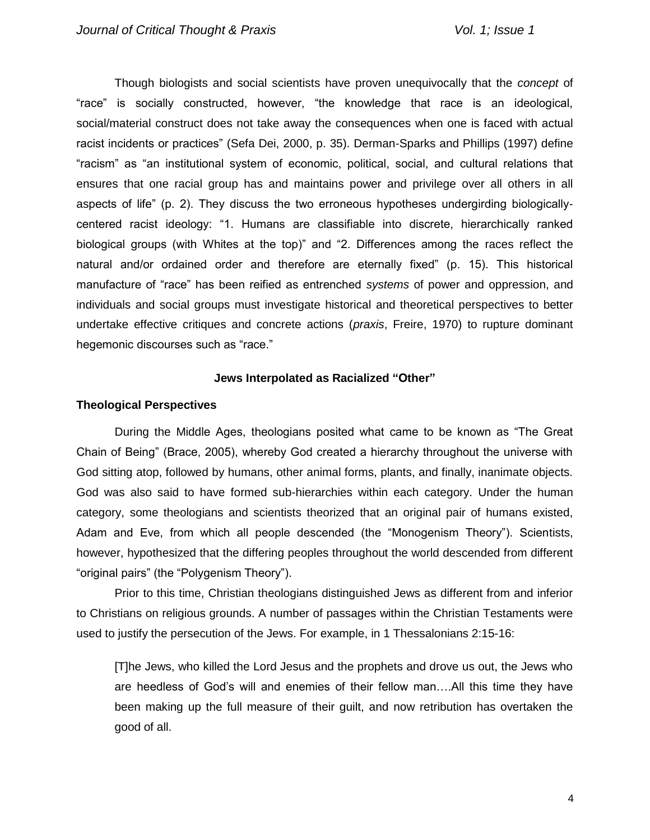Though biologists and social scientists have proven unequivocally that the *concept* of "race" is socially constructed, however, "the knowledge that race is an ideological, social/material construct does not take away the consequences when one is faced with actual racist incidents or practices" (Sefa Dei, 2000, p. 35). Derman-Sparks and Phillips (1997) define "racism" as "an institutional system of economic, political, social, and cultural relations that ensures that one racial group has and maintains power and privilege over all others in all aspects of life" (p. 2). They discuss the two erroneous hypotheses undergirding biologicallycentered racist ideology: "1. Humans are classifiable into discrete, hierarchically ranked biological groups (with Whites at the top)" and "2. Differences among the races reflect the natural and/or ordained order and therefore are eternally fixed" (p. 15). This historical manufacture of "race" has been reified as entrenched *systems* of power and oppression, and individuals and social groups must investigate historical and theoretical perspectives to better undertake effective critiques and concrete actions (*praxis*, Freire, 1970) to rupture dominant hegemonic discourses such as "race."

# **Jews Interpolated as Racialized "Other"**

# **Theological Perspectives**

During the Middle Ages, theologians posited what came to be known as "The Great Chain of Being" (Brace, 2005), whereby God created a hierarchy throughout the universe with God sitting atop, followed by humans, other animal forms, plants, and finally, inanimate objects. God was also said to have formed sub-hierarchies within each category. Under the human category, some theologians and scientists theorized that an original pair of humans existed, Adam and Eve, from which all people descended (the "Monogenism Theory"). Scientists, however, hypothesized that the differing peoples throughout the world descended from different "original pairs" (the "Polygenism Theory").

Prior to this time, Christian theologians distinguished Jews as different from and inferior to Christians on religious grounds. A number of passages within the Christian Testaments were used to justify the persecution of the Jews. For example, in 1 Thessalonians 2:15-16:

[T]he Jews, who killed the Lord Jesus and the prophets and drove us out, the Jews who are heedless of God's will and enemies of their fellow man….All this time they have been making up the full measure of their guilt, and now retribution has overtaken the good of all.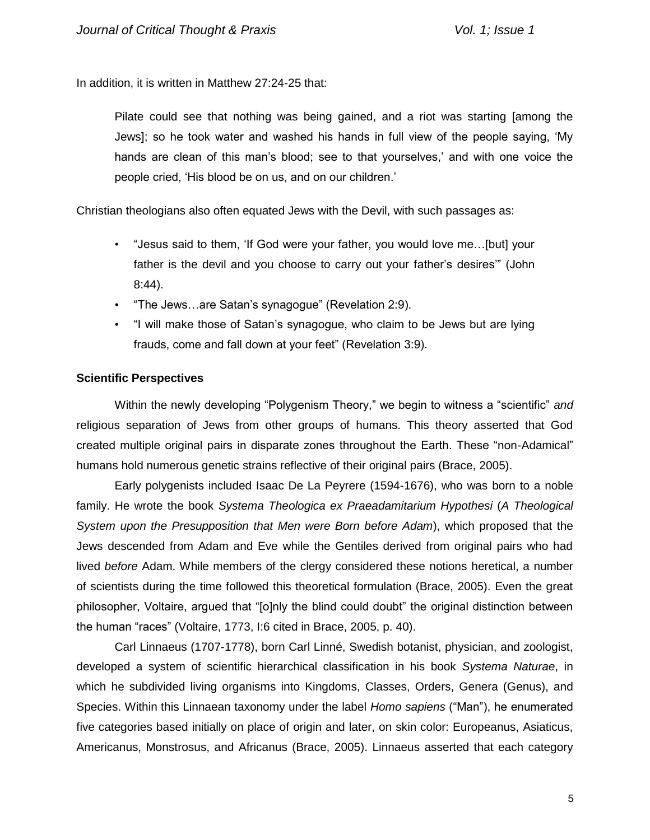In addition, it is written in Matthew 27:24-25 that:

Pilate could see that nothing was being gained, and a riot was starting [among the Jews]; so he took water and washed his hands in full view of the people saying, 'My hands are clean of this man's blood; see to that yourselves,' and with one voice the people cried, 'His blood be on us, and on our children.'

Christian theologians also often equated Jews with the Devil, with such passages as:

- "Jesus said to them, 'If God were your father, you would love me…[but] your father is the devil and you choose to carry out your father's desires'" (John 8:44).
- "The Jews…are Satan's synagogue" (Revelation 2:9).
- "I will make those of Satan's synagogue, who claim to be Jews but are lying frauds, come and fall down at your feet" (Revelation 3:9).

# **Scientific Perspectives**

Within the newly developing "Polygenism Theory," we begin to witness a "scientific" *and*  religious separation of Jews from other groups of humans. This theory asserted that God created multiple original pairs in disparate zones throughout the Earth. These "non-Adamical" humans hold numerous genetic strains reflective of their original pairs (Brace, 2005).

Early polygenists included Isaac De La Peyrere (1594-1676), who was born to a noble family. He wrote the book *Systema Theologica ex Praeadamitarium Hypothesi* (*A Theological System upon the Presupposition that Men were Born before Adam*), which proposed that the Jews descended from Adam and Eve while the Gentiles derived from original pairs who had lived *before* Adam. While members of the clergy considered these notions heretical, a number of scientists during the time followed this theoretical formulation (Brace, 2005). Even the great philosopher, Voltaire, argued that "[o]nly the blind could doubt" the original distinction between the human "races" (Voltaire, 1773, I:6 cited in Brace, 2005, p. 40).

Carl Linnaeus (1707-1778), born Carl Linné, Swedish botanist, physician, and zoologist, developed a system of scientific hierarchical classification in his book *Systema Naturae*, in which he subdivided living organisms into Kingdoms, Classes, Orders, Genera (Genus), and Species. Within this Linnaean taxonomy under the label *Homo sapiens* ("Man"), he enumerated five categories based initially on place of origin and later, on skin color: Europeanus, Asiaticus, Americanus, Monstrosus, and Africanus (Brace, 2005). Linnaeus asserted that each category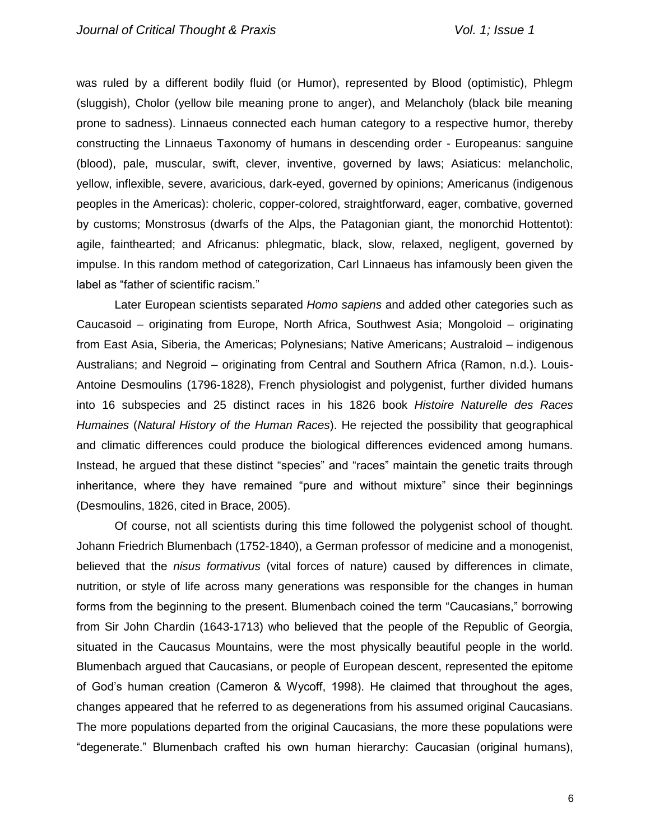was ruled by a different bodily fluid (or Humor), represented by Blood (optimistic), Phlegm (sluggish), Cholor (yellow bile meaning prone to anger), and Melancholy (black bile meaning prone to sadness). Linnaeus connected each human category to a respective humor, thereby constructing the Linnaeus Taxonomy of humans in descending order - Europeanus: sanguine (blood), pale, muscular, swift, clever, inventive, governed by laws; Asiaticus: melancholic, yellow, inflexible, severe, avaricious, dark-eyed, governed by opinions; Americanus (indigenous peoples in the Americas): choleric, copper-colored, straightforward, eager, combative, governed by customs; Monstrosus (dwarfs of the Alps, the Patagonian giant, the monorchid Hottentot): agile, fainthearted; and Africanus: phlegmatic, black, slow, relaxed, negligent, governed by impulse. In this random method of categorization, Carl Linnaeus has infamously been given the label as "father of scientific racism."

Later European scientists separated *Homo sapiens* and added other categories such as Caucasoid – originating from Europe, North Africa, Southwest Asia; Mongoloid – originating from East Asia, Siberia, the Americas; Polynesians; Native Americans; Australoid – indigenous Australians; and Negroid – originating from Central and Southern Africa (Ramon, n.d.). Louis-Antoine Desmoulins (1796-1828), French physiologist and polygenist, further divided humans into 16 subspecies and 25 distinct races in his 1826 book *Histoire Naturelle des Races Humaines* (*Natural History of the Human Races*). He rejected the possibility that geographical and climatic differences could produce the biological differences evidenced among humans. Instead, he argued that these distinct "species" and "races" maintain the genetic traits through inheritance, where they have remained "pure and without mixture" since their beginnings (Desmoulins, 1826, cited in Brace, 2005).

Of course, not all scientists during this time followed the polygenist school of thought. Johann Friedrich Blumenbach (1752-1840), a German professor of medicine and a monogenist, believed that the *nisus formativus* (vital forces of nature) caused by differences in climate, nutrition, or style of life across many generations was responsible for the changes in human forms from the beginning to the present. Blumenbach coined the term "Caucasians," borrowing from Sir John Chardin (1643-1713) who believed that the people of the Republic of Georgia, situated in the Caucasus Mountains, were the most physically beautiful people in the world. Blumenbach argued that Caucasians, or people of European descent, represented the epitome of God's human creation (Cameron & Wycoff, 1998). He claimed that throughout the ages, changes appeared that he referred to as degenerations from his assumed original Caucasians. The more populations departed from the original Caucasians, the more these populations were "degenerate." Blumenbach crafted his own human hierarchy: Caucasian (original humans),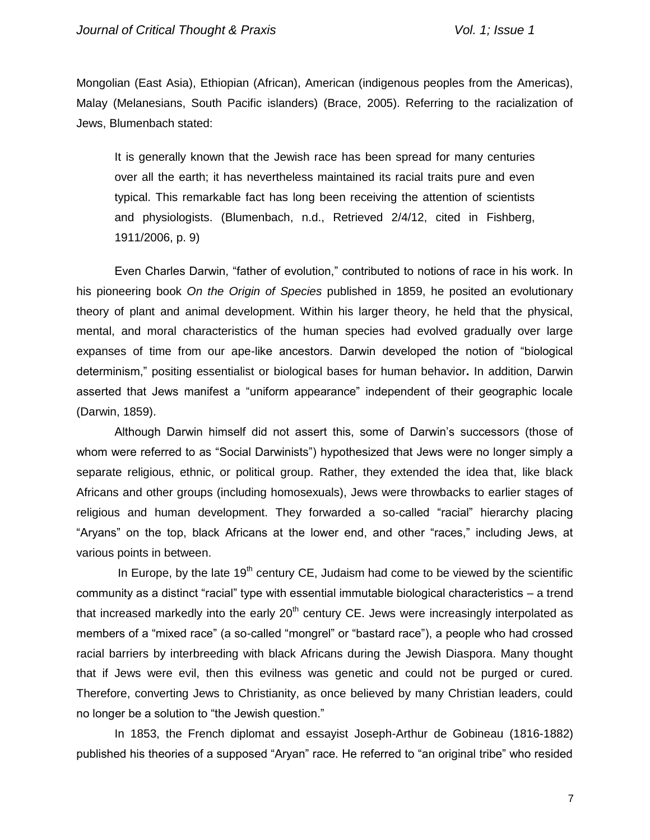Mongolian (East Asia), Ethiopian (African), American (indigenous peoples from the Americas), Malay (Melanesians, South Pacific islanders) (Brace, 2005). Referring to the racialization of Jews, Blumenbach stated:

It is generally known that the Jewish race has been spread for many centuries over all the earth; it has nevertheless maintained its racial traits pure and even typical. This remarkable fact has long been receiving the attention of scientists and physiologists. (Blumenbach, n.d., Retrieved 2/4/12, cited in Fishberg, 1911/2006, p. 9)

Even Charles Darwin, "father of evolution," contributed to notions of race in his work. In his pioneering book *On the Origin of Species* published in 1859, he posited an evolutionary theory of plant and animal development. Within his larger theory, he held that the physical, mental, and moral characteristics of the human species had evolved gradually over large expanses of time from our ape-like ancestors. Darwin developed the notion of "biological determinism," positing essentialist or biological bases for human behavior**.** In addition, Darwin asserted that Jews manifest a "uniform appearance" independent of their geographic locale (Darwin, 1859).

Although Darwin himself did not assert this, some of Darwin's successors (those of whom were referred to as "Social Darwinists") hypothesized that Jews were no longer simply a separate religious, ethnic, or political group. Rather, they extended the idea that, like black Africans and other groups (including homosexuals), Jews were throwbacks to earlier stages of religious and human development. They forwarded a so-called "racial" hierarchy placing "Aryans" on the top, black Africans at the lower end, and other "races," including Jews, at various points in between.

In Europe, by the late  $19<sup>th</sup>$  century CE, Judaism had come to be viewed by the scientific community as a distinct "racial" type with essential immutable biological characteristics – a trend that increased markedly into the early  $20<sup>th</sup>$  century CE. Jews were increasingly interpolated as members of a "mixed race" (a so-called "mongrel" or "bastard race"), a people who had crossed racial barriers by interbreeding with black Africans during the Jewish Diaspora. Many thought that if Jews were evil, then this evilness was genetic and could not be purged or cured. Therefore, converting Jews to Christianity, as once believed by many Christian leaders, could no longer be a solution to "the Jewish question."

In 1853, the French diplomat and essayist Joseph-Arthur de Gobineau (1816-1882) published his theories of a supposed "Aryan" race. He referred to "an original tribe" who resided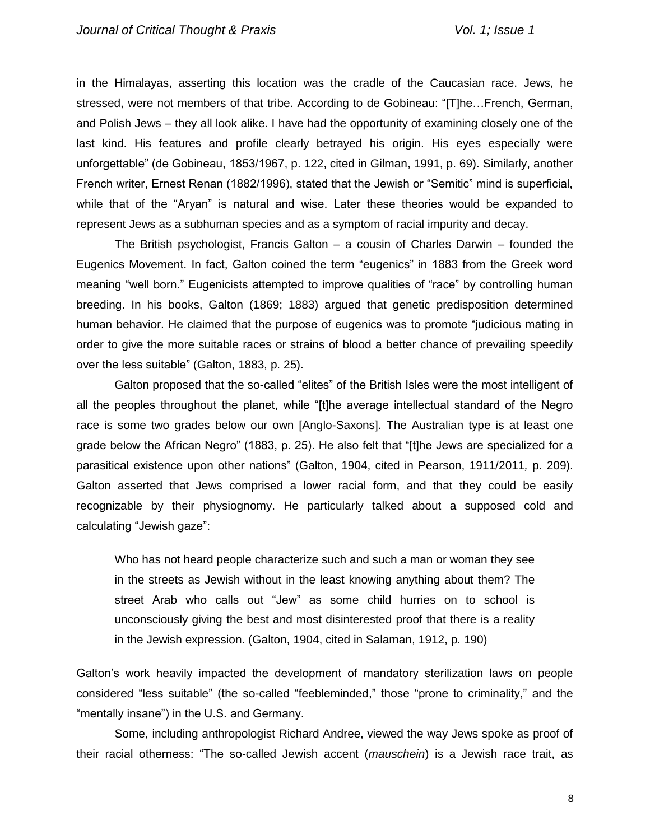in the Himalayas, asserting this location was the cradle of the Caucasian race. Jews, he stressed, were not members of that tribe. According to de Gobineau: "[T]he…French, German, and Polish Jews – they all look alike. I have had the opportunity of examining closely one of the last kind. His features and profile clearly betrayed his origin. His eyes especially were unforgettable" (de Gobineau, 1853/1967, p. 122, cited in Gilman, 1991, p. 69). Similarly, another French writer, Ernest Renan (1882/1996), stated that the Jewish or "Semitic" mind is superficial, while that of the "Aryan" is natural and wise. Later these theories would be expanded to represent Jews as a subhuman species and as a symptom of racial impurity and decay.

The British psychologist, Francis Galton – a cousin of Charles Darwin – founded the Eugenics Movement. In fact, Galton coined the term "eugenics" in 1883 from the Greek word meaning "well born." Eugenicists attempted to improve qualities of "race" by controlling human breeding. In his books, Galton (1869; 1883) argued that genetic predisposition determined human behavior. He claimed that the purpose of eugenics was to promote "judicious mating in order to give the more suitable races or strains of blood a better chance of prevailing speedily over the less suitable" (Galton, 1883, p. 25).

Galton proposed that the so-called "elites" of the British Isles were the most intelligent of all the peoples throughout the planet, while "[t]he average intellectual standard of the Negro race is some two grades below our own [Anglo-Saxons]. The Australian type is at least one grade below the African Negro" (1883, p. 25). He also felt that "[t]he Jews are specialized for a parasitical existence upon other nations" (Galton, 1904, cited in Pearson, 1911/2011*,* p. 209). Galton asserted that Jews comprised a lower racial form, and that they could be easily recognizable by their physiognomy. He particularly talked about a supposed cold and calculating "Jewish gaze":

Who has not heard people characterize such and such a man or woman they see in the streets as Jewish without in the least knowing anything about them? The street Arab who calls out "Jew" as some child hurries on to school is unconsciously giving the best and most disinterested proof that there is a reality in the Jewish expression. (Galton, 1904, cited in Salaman, 1912, p. 190)

Galton's work heavily impacted the development of mandatory sterilization laws on people considered "less suitable" (the so-called "feebleminded," those "prone to criminality," and the "mentally insane") in the U.S. and Germany.

Some, including anthropologist Richard Andree, viewed the way Jews spoke as proof of their racial otherness: "The so-called Jewish accent (*mauschein*) is a Jewish race trait, as

8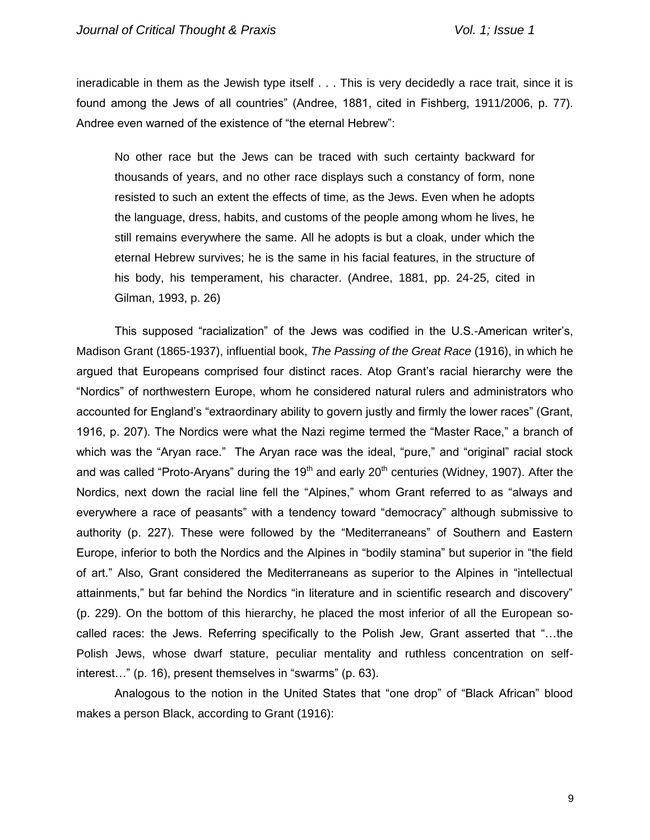ineradicable in them as the Jewish type itself . . . This is very decidedly a race trait, since it is found among the Jews of all countries" (Andree, 1881, cited in Fishberg, 1911/2006, p. 77). Andree even warned of the existence of "the eternal Hebrew":

No other race but the Jews can be traced with such certainty backward for thousands of years, and no other race displays such a constancy of form, none resisted to such an extent the effects of time, as the Jews. Even when he adopts the language, dress, habits, and customs of the people among whom he lives, he still remains everywhere the same. All he adopts is but a cloak, under which the eternal Hebrew survives; he is the same in his facial features, in the structure of his body, his temperament, his character. (Andree, 1881, pp. 24-25, cited in Gilman, 1993, p. 26)

This supposed "racialization" of the Jews was codified in the U.S.-American writer's, Madison Grant (1865-1937), influential book, *The Passing of the Great Race* (1916), in which he argued that Europeans comprised four distinct races. Atop Grant's racial hierarchy were the "Nordics" of northwestern Europe, whom he considered natural rulers and administrators who accounted for England's "extraordinary ability to govern justly and firmly the lower races" (Grant, 1916, p. 207). The Nordics were what the Nazi regime termed the "Master Race," a branch of which was the "Aryan race." The Aryan race was the ideal, "pure," and "original" racial stock and was called "Proto-Aryans" during the  $19<sup>th</sup>$  and early  $20<sup>th</sup>$  centuries (Widney, 1907). After the Nordics, next down the racial line fell the "Alpines," whom Grant referred to as "always and everywhere a race of peasants" with a tendency toward "democracy" although submissive to authority (p. 227). These were followed by the "Mediterraneans" of Southern and Eastern Europe, inferior to both the Nordics and the Alpines in "bodily stamina" but superior in "the field of art." Also, Grant considered the Mediterraneans as superior to the Alpines in "intellectual attainments," but far behind the Nordics "in literature and in scientific research and discovery" (p. 229). On the bottom of this hierarchy, he placed the most inferior of all the European socalled races: the Jews. Referring specifically to the Polish Jew, Grant asserted that "…the Polish Jews, whose dwarf stature, peculiar mentality and ruthless concentration on selfinterest…" (p. 16), present themselves in "swarms" (p. 63).

Analogous to the notion in the United States that "one drop" of "Black African" blood makes a person Black, according to Grant (1916):

9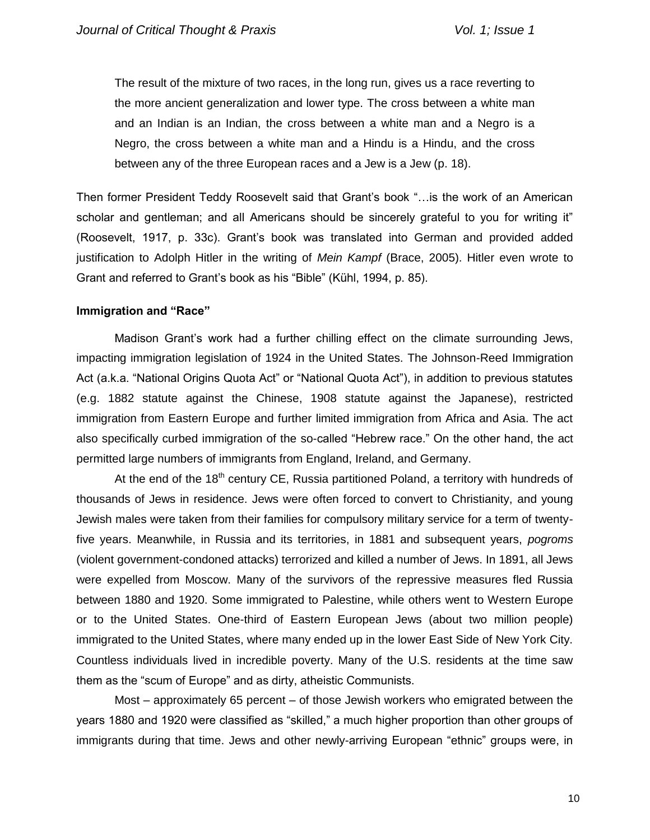The result of the mixture of two races, in the long run, gives us a race reverting to the more ancient generalization and lower type. The cross between a white man and an Indian is an Indian, the cross between a white man and a Negro is a Negro, the cross between a white man and a Hindu is a Hindu, and the cross between any of the three European races and a Jew is a Jew (p. 18).

Then former President Teddy Roosevelt said that Grant's book "…is the work of an American scholar and gentleman; and all Americans should be sincerely grateful to you for writing it" (Roosevelt, 1917, p. 33c). Grant's book was translated into German and provided added justification to Adolph Hitler in the writing of *Mein Kampf* (Brace, 2005). Hitler even wrote to Grant and referred to Grant's book as his "Bible" (Kühl, 1994, p. 85).

#### **Immigration and "Race"**

Madison Grant's work had a further chilling effect on the climate surrounding Jews, impacting immigration legislation of 1924 in the United States. The Johnson-Reed Immigration Act (a.k.a. "National Origins Quota Act" or "National Quota Act"), in addition to previous statutes (e.g. 1882 statute against the Chinese, 1908 statute against the Japanese), restricted immigration from Eastern Europe and further limited immigration from Africa and Asia. The act also specifically curbed immigration of the so-called "Hebrew race." On the other hand, the act permitted large numbers of immigrants from England, Ireland, and Germany.

At the end of the 18<sup>th</sup> century CE, Russia partitioned Poland, a territory with hundreds of thousands of Jews in residence. Jews were often forced to convert to Christianity, and young Jewish males were taken from their families for compulsory military service for a term of twentyfive years. Meanwhile, in Russia and its territories, in 1881 and subsequent years, *pogroms* (violent government-condoned attacks) terrorized and killed a number of Jews. In 1891, all Jews were expelled from Moscow. Many of the survivors of the repressive measures fled Russia between 1880 and 1920. Some immigrated to Palestine, while others went to Western Europe or to the United States. One-third of Eastern European Jews (about two million people) immigrated to the United States, where many ended up in the lower East Side of New York City. Countless individuals lived in incredible poverty. Many of the U.S. residents at the time saw them as the "scum of Europe" and as dirty, atheistic Communists.

Most – approximately 65 percent – of those Jewish workers who emigrated between the years 1880 and 1920 were classified as "skilled," a much higher proportion than other groups of immigrants during that time. Jews and other newly-arriving European "ethnic" groups were, in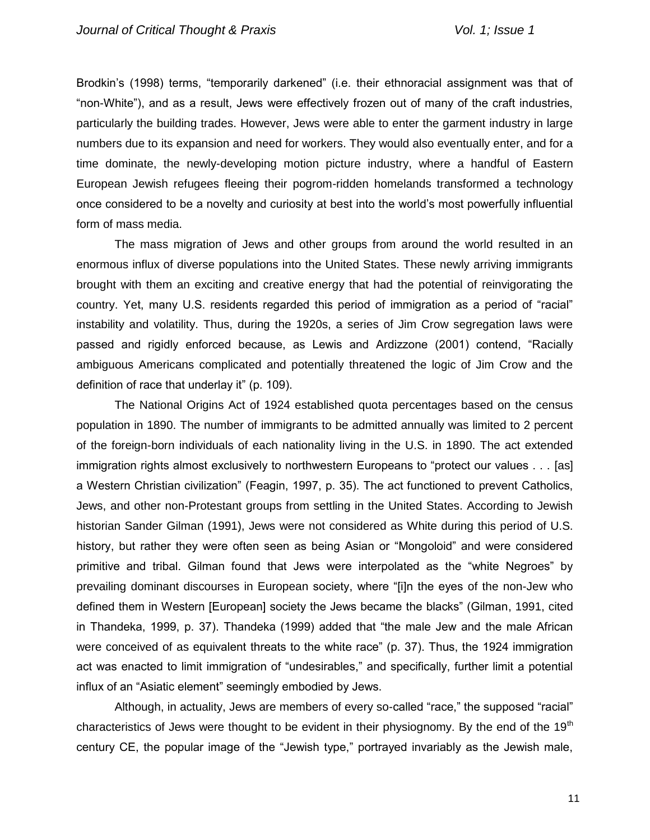Brodkin's (1998) terms, "temporarily darkened" (i.e. their ethnoracial assignment was that of "non-White"), and as a result, Jews were effectively frozen out of many of the craft industries, particularly the building trades. However, Jews were able to enter the garment industry in large numbers due to its expansion and need for workers. They would also eventually enter, and for a time dominate, the newly-developing motion picture industry, where a handful of Eastern European Jewish refugees fleeing their pogrom-ridden homelands transformed a technology once considered to be a novelty and curiosity at best into the world's most powerfully influential form of mass media.

The mass migration of Jews and other groups from around the world resulted in an enormous influx of diverse populations into the United States. These newly arriving immigrants brought with them an exciting and creative energy that had the potential of reinvigorating the country. Yet, many U.S. residents regarded this period of immigration as a period of "racial" instability and volatility. Thus, during the 1920s, a series of Jim Crow segregation laws were passed and rigidly enforced because, as Lewis and Ardizzone (2001) contend, "Racially ambiguous Americans complicated and potentially threatened the logic of Jim Crow and the definition of race that underlay it" (p. 109).

The National Origins Act of 1924 established quota percentages based on the census population in 1890. The number of immigrants to be admitted annually was limited to 2 percent of the foreign-born individuals of each nationality living in the U.S. in 1890. The act extended immigration rights almost exclusively to northwestern Europeans to "protect our values . . . [as] a Western Christian civilization" (Feagin, 1997, p. 35). The act functioned to prevent Catholics, Jews, and other non-Protestant groups from settling in the United States. According to Jewish historian Sander Gilman (1991), Jews were not considered as White during this period of U.S. history, but rather they were often seen as being Asian or "Mongoloid" and were considered primitive and tribal. Gilman found that Jews were interpolated as the "white Negroes" by prevailing dominant discourses in European society, where "[i]n the eyes of the non-Jew who defined them in Western [European] society the Jews became the blacks" (Gilman, 1991, cited in Thandeka, 1999, p. 37). Thandeka (1999) added that "the male Jew and the male African were conceived of as equivalent threats to the white race" (p. 37). Thus, the 1924 immigration act was enacted to limit immigration of "undesirables," and specifically, further limit a potential influx of an "Asiatic element" seemingly embodied by Jews.

Although, in actuality, Jews are members of every so-called "race," the supposed "racial" characteristics of Jews were thought to be evident in their physiognomy. By the end of the 19<sup>th</sup> century CE, the popular image of the "Jewish type," portrayed invariably as the Jewish male,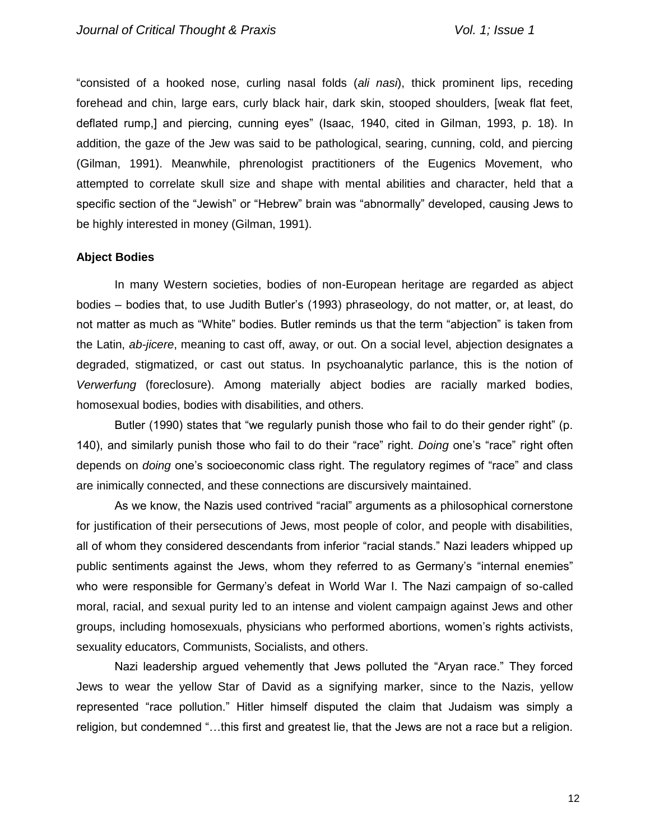"consisted of a hooked nose, curling nasal folds (*ali nasi*), thick prominent lips, receding forehead and chin, large ears, curly black hair, dark skin, stooped shoulders, [weak flat feet, deflated rump,] and piercing, cunning eyes" (Isaac, 1940, cited in Gilman, 1993, p. 18). In addition, the gaze of the Jew was said to be pathological, searing, cunning, cold, and piercing (Gilman, 1991). Meanwhile, phrenologist practitioners of the Eugenics Movement, who attempted to correlate skull size and shape with mental abilities and character, held that a specific section of the "Jewish" or "Hebrew" brain was "abnormally" developed, causing Jews to be highly interested in money (Gilman, 1991).

## **Abject Bodies**

In many Western societies, bodies of non-European heritage are regarded as abject bodies – bodies that, to use Judith Butler's (1993) phraseology, do not matter, or, at least, do not matter as much as "White" bodies. Butler reminds us that the term "abjection" is taken from the Latin, *ab-jicere*, meaning to cast off, away, or out. On a social level, abjection designates a degraded, stigmatized, or cast out status. In psychoanalytic parlance, this is the notion of *Verwerfung* (foreclosure). Among materially abject bodies are racially marked bodies, homosexual bodies, bodies with disabilities, and others.

Butler (1990) states that "we regularly punish those who fail to do their gender right" (p. 140), and similarly punish those who fail to do their "race" right. *Doing* one's "race" right often depends on *doing* one's socioeconomic class right. The regulatory regimes of "race" and class are inimically connected, and these connections are discursively maintained.

As we know, the Nazis used contrived "racial" arguments as a philosophical cornerstone for justification of their persecutions of Jews, most people of color, and people with disabilities, all of whom they considered descendants from inferior "racial stands." Nazi leaders whipped up public sentiments against the Jews, whom they referred to as Germany's "internal enemies" who were responsible for Germany's defeat in World War I. The Nazi campaign of so-called moral, racial, and sexual purity led to an intense and violent campaign against Jews and other groups, including homosexuals, physicians who performed abortions, women's rights activists, sexuality educators, Communists, Socialists, and others.

Nazi leadership argued vehemently that Jews polluted the "Aryan race." They forced Jews to wear the yellow Star of David as a signifying marker, since to the Nazis, yellow represented "race pollution." Hitler himself disputed the claim that Judaism was simply a religion, but condemned "…this first and greatest lie, that the Jews are not a race but a religion.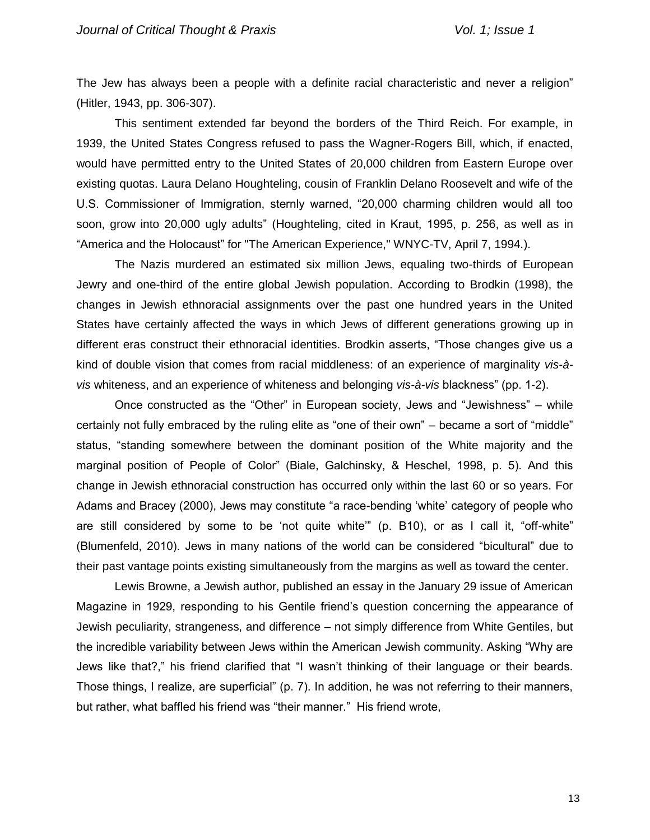The Jew has always been a people with a definite racial characteristic and never a religion" (Hitler, 1943, pp. 306-307).

This sentiment extended far beyond the borders of the Third Reich. For example, in 1939, the United States Congress refused to pass the Wagner-Rogers Bill, which, if enacted, would have permitted entry to the United States of 20,000 children from Eastern Europe over existing quotas. Laura Delano Houghteling, cousin of Franklin Delano Roosevelt and wife of the U.S. Commissioner of Immigration, sternly warned, "20,000 charming children would all too soon, grow into 20,000 ugly adults" (Houghteling, cited in Kraut, 1995, p. 256, as well as in "America and the Holocaust" for "The American Experience," WNYC-TV, April 7, 1994.).

The Nazis murdered an estimated six million Jews, equaling two-thirds of European Jewry and one-third of the entire global Jewish population. According to Brodkin (1998), the changes in Jewish ethnoracial assignments over the past one hundred years in the United States have certainly affected the ways in which Jews of different generations growing up in different eras construct their ethnoracial identities. Brodkin asserts, "Those changes give us a kind of double vision that comes from racial middleness: of an experience of marginality *vis-àvis* whiteness, and an experience of whiteness and belonging *vis-à-vis* blackness" (pp. 1-2).

Once constructed as the "Other" in European society, Jews and "Jewishness" – while certainly not fully embraced by the ruling elite as "one of their own" – became a sort of "middle" status, "standing somewhere between the dominant position of the White majority and the marginal position of People of Color" (Biale, Galchinsky, & Heschel, 1998, p. 5). And this change in Jewish ethnoracial construction has occurred only within the last 60 or so years. For Adams and Bracey (2000), Jews may constitute "a race-bending 'white' category of people who are still considered by some to be 'not quite white'" (p. B10), or as I call it, "off-white" (Blumenfeld, 2010). Jews in many nations of the world can be considered "bicultural" due to their past vantage points existing simultaneously from the margins as well as toward the center.

Lewis Browne, a Jewish author, published an essay in the January 29 issue of American Magazine in 1929, responding to his Gentile friend's question concerning the appearance of Jewish peculiarity, strangeness, and difference – not simply difference from White Gentiles, but the incredible variability between Jews within the American Jewish community. Asking "Why are Jews like that?," his friend clarified that "I wasn't thinking of their language or their beards. Those things, I realize, are superficial" (p. 7). In addition, he was not referring to their manners, but rather, what baffled his friend was "their manner." His friend wrote,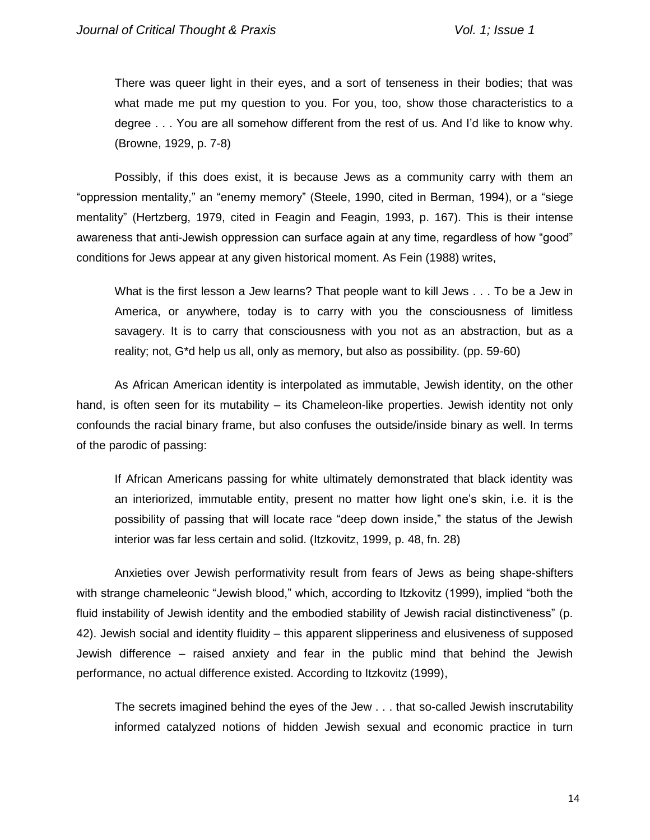There was queer light in their eyes, and a sort of tenseness in their bodies; that was what made me put my question to you. For you, too, show those characteristics to a degree . . . You are all somehow different from the rest of us. And I'd like to know why. (Browne, 1929, p. 7-8)

Possibly, if this does exist, it is because Jews as a community carry with them an "oppression mentality," an "enemy memory" (Steele, 1990, cited in Berman, 1994), or a "siege mentality" (Hertzberg, 1979, cited in Feagin and Feagin, 1993, p. 167). This is their intense awareness that anti-Jewish oppression can surface again at any time, regardless of how "good" conditions for Jews appear at any given historical moment. As Fein (1988) writes,

What is the first lesson a Jew learns? That people want to kill Jews . . . To be a Jew in America, or anywhere, today is to carry with you the consciousness of limitless savagery. It is to carry that consciousness with you not as an abstraction, but as a reality; not, G\*d help us all, only as memory, but also as possibility. (pp. 59-60)

As African American identity is interpolated as immutable, Jewish identity, on the other hand, is often seen for its mutability – its Chameleon-like properties. Jewish identity not only confounds the racial binary frame, but also confuses the outside/inside binary as well. In terms of the parodic of passing:

If African Americans passing for white ultimately demonstrated that black identity was an interiorized, immutable entity, present no matter how light one's skin, i.e. it is the possibility of passing that will locate race "deep down inside," the status of the Jewish interior was far less certain and solid. (Itzkovitz, 1999, p. 48, fn. 28)

Anxieties over Jewish performativity result from fears of Jews as being shape-shifters with strange chameleonic "Jewish blood," which, according to Itzkovitz (1999), implied "both the fluid instability of Jewish identity and the embodied stability of Jewish racial distinctiveness" (p. 42). Jewish social and identity fluidity – this apparent slipperiness and elusiveness of supposed Jewish difference – raised anxiety and fear in the public mind that behind the Jewish performance, no actual difference existed. According to Itzkovitz (1999),

The secrets imagined behind the eyes of the Jew . . . that so-called Jewish inscrutability informed catalyzed notions of hidden Jewish sexual and economic practice in turn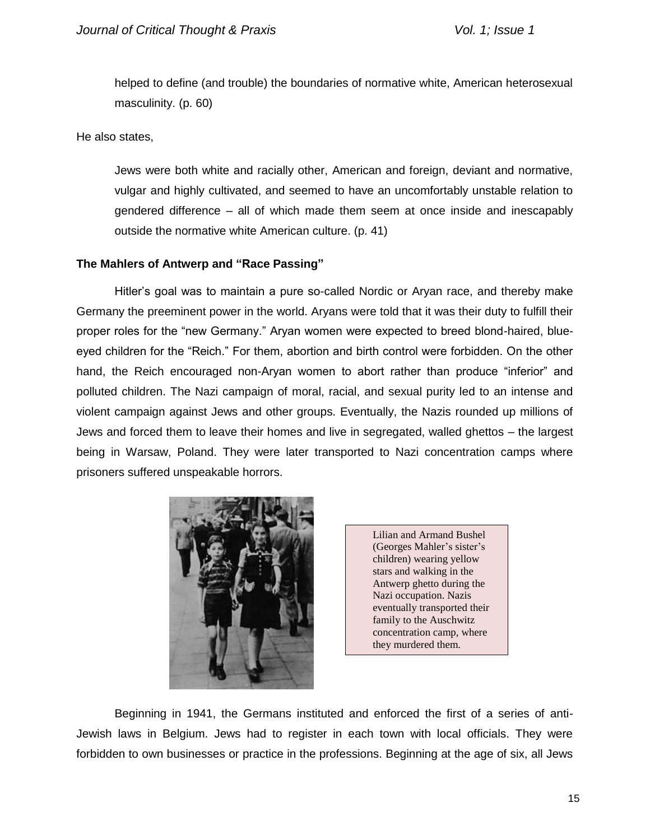helped to define (and trouble) the boundaries of normative white, American heterosexual masculinity. (p. 60)

He also states,

Jews were both white and racially other, American and foreign, deviant and normative, vulgar and highly cultivated, and seemed to have an uncomfortably unstable relation to gendered difference – all of which made them seem at once inside and inescapably outside the normative white American culture. (p. 41)

# **The Mahlers of Antwerp and "Race Passing"**

Hitler's goal was to maintain a pure so-called Nordic or Aryan race, and thereby make Germany the preeminent power in the world. Aryans were told that it was their duty to fulfill their proper roles for the "new Germany." Aryan women were expected to breed blond-haired, blueeyed children for the "Reich." For them, abortion and birth control were forbidden. On the other hand, the Reich encouraged non-Aryan women to abort rather than produce "inferior" and polluted children. The Nazi campaign of moral, racial, and sexual purity led to an intense and violent campaign against Jews and other groups. Eventually, the Nazis rounded up millions of Jews and forced them to leave their homes and live in segregated, walled ghettos – the largest being in Warsaw, Poland. They were later transported to Nazi concentration camps where prisoners suffered unspeakable horrors.



Lilian and Armand Bushel (Georges Mahler's sister's children) wearing yellow stars and walking in the Antwerp ghetto during the Nazi occupation. Nazis eventually transported their family to the Auschwitz concentration camp, where they murdered them.

Beginning in 1941, the Germans instituted and enforced the first of a series of anti-Jewish laws in Belgium. Jews had to register in each town with local officials. They were forbidden to own businesses or practice in the professions. Beginning at the age of six, all Jews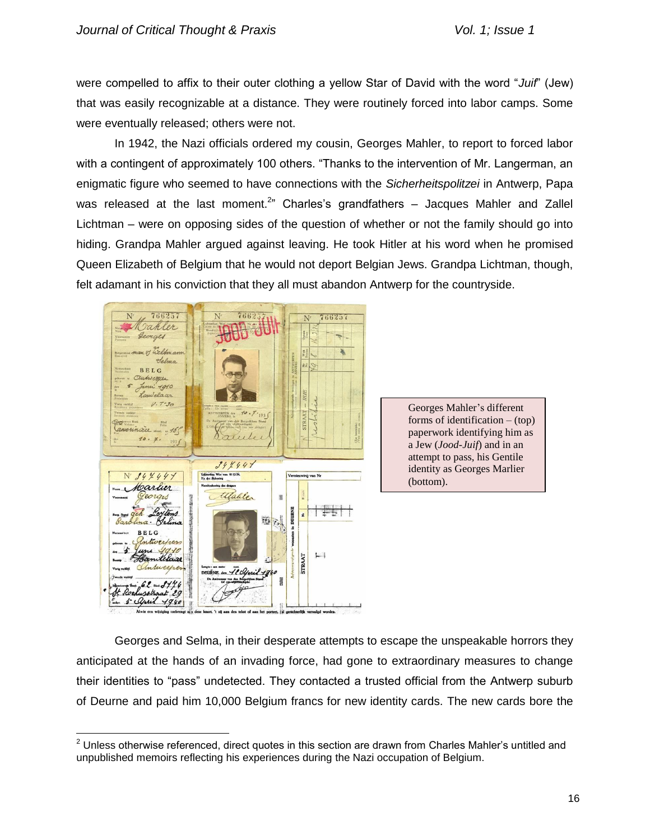were compelled to affix to their outer clothing a yellow Star of David with the word "*Juif*" (Jew) that was easily recognizable at a distance. They were routinely forced into labor camps. Some were eventually released; others were not.

In 1942, the Nazi officials ordered my cousin, Georges Mahler, to report to forced labor with a contingent of approximately 100 others. "Thanks to the intervention of Mr. Langerman, an enigmatic figure who seemed to have connections with the *Sicherheitspolitzei* in Antwerp, Papa was released at the last moment.<sup>2</sup>" Charles's grandfathers  $-$  Jacques Mahler and Zallel Lichtman – were on opposing sides of the question of whether or not the family should go into hiding. Grandpa Mahler argued against leaving. He took Hitler at his word when he promised Queen Elizabeth of Belgium that he would not deport Belgian Jews. Grandpa Lichtman, though, felt adamant in his conviction that they all must abandon Antwerp for the countryside.



 $\overline{a}$ 

Georges Mahler's different forms of identification  $-$  (top) paperwork identifying him as a Jew (*Jood-Juif*) and in an attempt to pass, his Gentile identity as Georges Marlier (bottom).

Georges and Selma, in their desperate attempts to escape the unspeakable horrors they anticipated at the hands of an invading force, had gone to extraordinary measures to change their identities to "pass" undetected. They contacted a trusted official from the Antwerp suburb of Deurne and paid him 10,000 Belgium francs for new identity cards. The new cards bore the

 $2$  Unless otherwise referenced, direct quotes in this section are drawn from Charles Mahler's untitled and unpublished memoirs reflecting his experiences during the Nazi occupation of Belgium.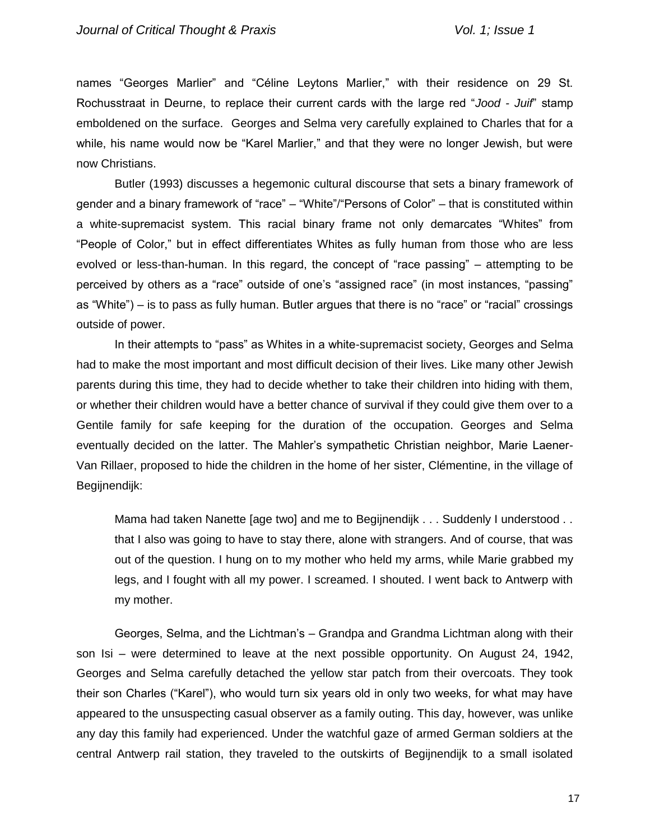names "Georges Marlier" and "Céline Leytons Marlier," with their residence on 29 St. Rochusstraat in Deurne, to replace their current cards with the large red "*Jood - Juif*" stamp emboldened on the surface. Georges and Selma very carefully explained to Charles that for a while, his name would now be "Karel Marlier," and that they were no longer Jewish, but were now Christians.

Butler (1993) discusses a hegemonic cultural discourse that sets a binary framework of gender and a binary framework of "race" – "White"/"Persons of Color" – that is constituted within a white-supremacist system. This racial binary frame not only demarcates "Whites" from "People of Color," but in effect differentiates Whites as fully human from those who are less evolved or less-than-human. In this regard, the concept of "race passing" – attempting to be perceived by others as a "race" outside of one's "assigned race" (in most instances, "passing" as "White") – is to pass as fully human. Butler argues that there is no "race" or "racial" crossings outside of power.

In their attempts to "pass" as Whites in a white-supremacist society, Georges and Selma had to make the most important and most difficult decision of their lives. Like many other Jewish parents during this time, they had to decide whether to take their children into hiding with them, or whether their children would have a better chance of survival if they could give them over to a Gentile family for safe keeping for the duration of the occupation. Georges and Selma eventually decided on the latter. The Mahler's sympathetic Christian neighbor, Marie Laener-Van Rillaer, proposed to hide the children in the home of her sister, Clémentine, in the village of Begijnendijk:

Mama had taken Nanette [age two] and me to Begijnendijk . . . Suddenly I understood . . that I also was going to have to stay there, alone with strangers. And of course, that was out of the question. I hung on to my mother who held my arms, while Marie grabbed my legs, and I fought with all my power. I screamed. I shouted. I went back to Antwerp with my mother.

Georges, Selma, and the Lichtman's – Grandpa and Grandma Lichtman along with their son Isi – were determined to leave at the next possible opportunity. On August 24, 1942, Georges and Selma carefully detached the yellow star patch from their overcoats. They took their son Charles ("Karel"), who would turn six years old in only two weeks, for what may have appeared to the unsuspecting casual observer as a family outing. This day, however, was unlike any day this family had experienced. Under the watchful gaze of armed German soldiers at the central Antwerp rail station, they traveled to the outskirts of Begijnendijk to a small isolated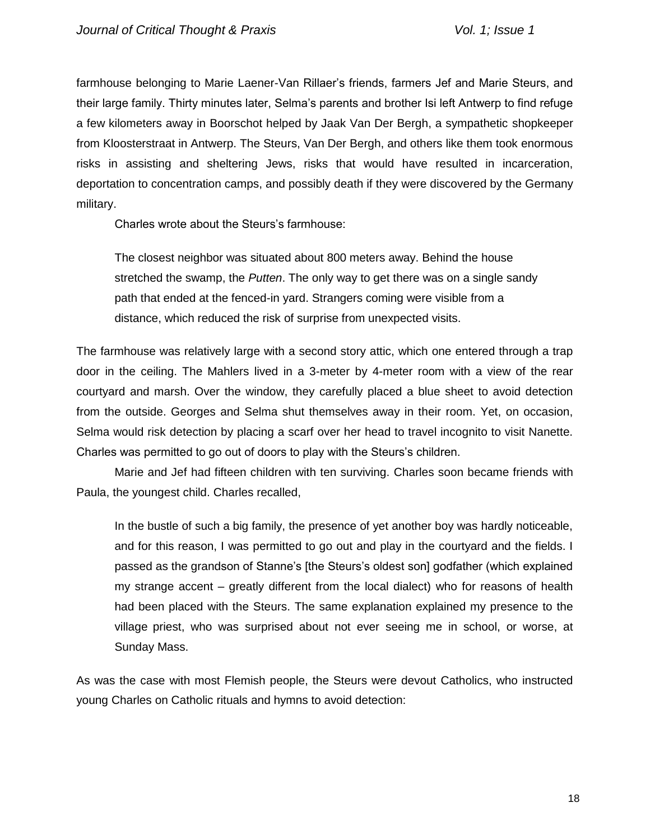farmhouse belonging to Marie Laener-Van Rillaer's friends, farmers Jef and Marie Steurs, and their large family. Thirty minutes later, Selma's parents and brother Isi left Antwerp to find refuge a few kilometers away in Boorschot helped by Jaak Van Der Bergh, a sympathetic shopkeeper from Kloosterstraat in Antwerp. The Steurs, Van Der Bergh, and others like them took enormous risks in assisting and sheltering Jews, risks that would have resulted in incarceration, deportation to concentration camps, and possibly death if they were discovered by the Germany military.

Charles wrote about the Steurs's farmhouse:

The closest neighbor was situated about 800 meters away. Behind the house stretched the swamp, the *Putten*. The only way to get there was on a single sandy path that ended at the fenced-in yard. Strangers coming were visible from a distance, which reduced the risk of surprise from unexpected visits.

The farmhouse was relatively large with a second story attic, which one entered through a trap door in the ceiling. The Mahlers lived in a 3-meter by 4-meter room with a view of the rear courtyard and marsh. Over the window, they carefully placed a blue sheet to avoid detection from the outside. Georges and Selma shut themselves away in their room. Yet, on occasion, Selma would risk detection by placing a scarf over her head to travel incognito to visit Nanette. Charles was permitted to go out of doors to play with the Steurs's children.

Marie and Jef had fifteen children with ten surviving. Charles soon became friends with Paula, the youngest child. Charles recalled,

In the bustle of such a big family, the presence of yet another boy was hardly noticeable, and for this reason, I was permitted to go out and play in the courtyard and the fields. I passed as the grandson of Stanne's [the Steurs's oldest son] godfather (which explained my strange accent – greatly different from the local dialect) who for reasons of health had been placed with the Steurs. The same explanation explained my presence to the village priest, who was surprised about not ever seeing me in school, or worse, at Sunday Mass.

As was the case with most Flemish people, the Steurs were devout Catholics, who instructed young Charles on Catholic rituals and hymns to avoid detection: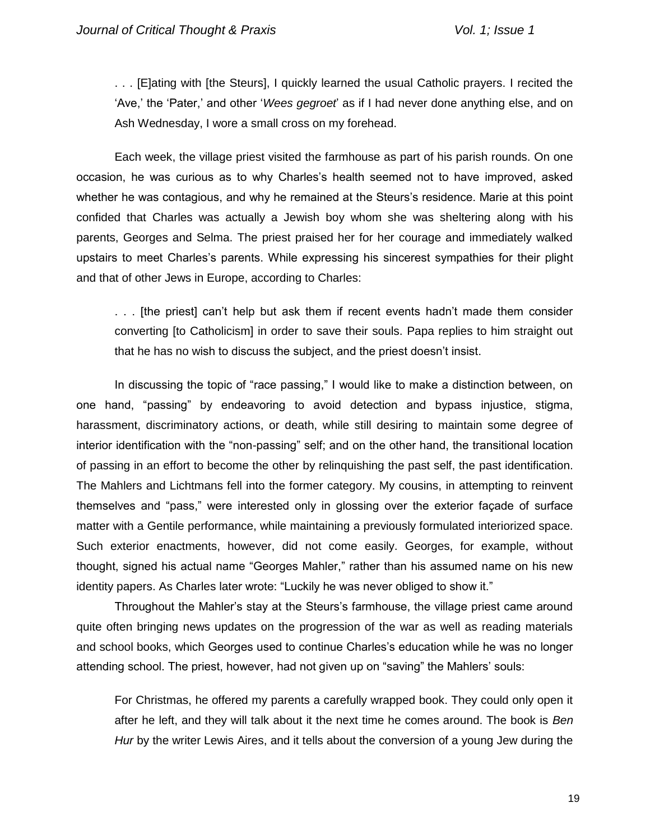. . . [E]ating with [the Steurs], I quickly learned the usual Catholic prayers. I recited the 'Ave,' the 'Pater,' and other '*Wees gegroet*' as if I had never done anything else, and on Ash Wednesday, I wore a small cross on my forehead.

Each week, the village priest visited the farmhouse as part of his parish rounds. On one occasion, he was curious as to why Charles's health seemed not to have improved, asked whether he was contagious, and why he remained at the Steurs's residence. Marie at this point confided that Charles was actually a Jewish boy whom she was sheltering along with his parents, Georges and Selma. The priest praised her for her courage and immediately walked upstairs to meet Charles's parents. While expressing his sincerest sympathies for their plight and that of other Jews in Europe, according to Charles:

. . . [the priest] can't help but ask them if recent events hadn't made them consider converting [to Catholicism] in order to save their souls. Papa replies to him straight out that he has no wish to discuss the subject, and the priest doesn't insist.

In discussing the topic of "race passing," I would like to make a distinction between, on one hand, "passing" by endeavoring to avoid detection and bypass injustice, stigma, harassment, discriminatory actions, or death, while still desiring to maintain some degree of interior identification with the "non-passing" self; and on the other hand, the transitional location of passing in an effort to become the other by relinquishing the past self, the past identification. The Mahlers and Lichtmans fell into the former category. My cousins, in attempting to reinvent themselves and "pass," were interested only in glossing over the exterior façade of surface matter with a Gentile performance, while maintaining a previously formulated interiorized space. Such exterior enactments, however, did not come easily. Georges, for example, without thought, signed his actual name "Georges Mahler," rather than his assumed name on his new identity papers. As Charles later wrote: "Luckily he was never obliged to show it."

Throughout the Mahler's stay at the Steurs's farmhouse, the village priest came around quite often bringing news updates on the progression of the war as well as reading materials and school books, which Georges used to continue Charles's education while he was no longer attending school. The priest, however, had not given up on "saving" the Mahlers' souls:

For Christmas, he offered my parents a carefully wrapped book. They could only open it after he left, and they will talk about it the next time he comes around. The book is *Ben Hur* by the writer Lewis Aires, and it tells about the conversion of a young Jew during the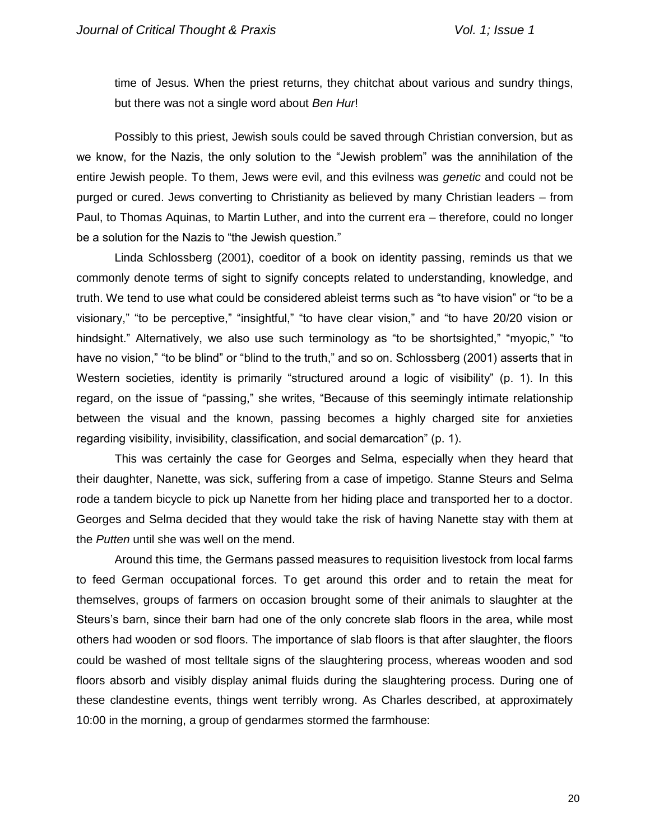time of Jesus. When the priest returns, they chitchat about various and sundry things, but there was not a single word about *Ben Hur*!

Possibly to this priest, Jewish souls could be saved through Christian conversion, but as we know, for the Nazis, the only solution to the "Jewish problem" was the annihilation of the entire Jewish people. To them, Jews were evil, and this evilness was *genetic* and could not be purged or cured. Jews converting to Christianity as believed by many Christian leaders – from Paul, to Thomas Aquinas, to Martin Luther, and into the current era – therefore, could no longer be a solution for the Nazis to "the Jewish question."

Linda Schlossberg (2001), coeditor of a book on identity passing, reminds us that we commonly denote terms of sight to signify concepts related to understanding, knowledge, and truth. We tend to use what could be considered ableist terms such as "to have vision" or "to be a visionary," "to be perceptive," "insightful," "to have clear vision," and "to have 20/20 vision or hindsight." Alternatively, we also use such terminology as "to be shortsighted," "myopic," "to have no vision," "to be blind" or "blind to the truth," and so on. Schlossberg (2001) asserts that in Western societies, identity is primarily "structured around a logic of visibility" (p. 1). In this regard, on the issue of "passing," she writes, "Because of this seemingly intimate relationship between the visual and the known, passing becomes a highly charged site for anxieties regarding visibility, invisibility, classification, and social demarcation" (p. 1).

This was certainly the case for Georges and Selma, especially when they heard that their daughter, Nanette, was sick, suffering from a case of impetigo. Stanne Steurs and Selma rode a tandem bicycle to pick up Nanette from her hiding place and transported her to a doctor. Georges and Selma decided that they would take the risk of having Nanette stay with them at the *Putten* until she was well on the mend.

Around this time, the Germans passed measures to requisition livestock from local farms to feed German occupational forces. To get around this order and to retain the meat for themselves, groups of farmers on occasion brought some of their animals to slaughter at the Steurs's barn, since their barn had one of the only concrete slab floors in the area, while most others had wooden or sod floors. The importance of slab floors is that after slaughter, the floors could be washed of most telltale signs of the slaughtering process, whereas wooden and sod floors absorb and visibly display animal fluids during the slaughtering process. During one of these clandestine events, things went terribly wrong. As Charles described, at approximately 10:00 in the morning, a group of gendarmes stormed the farmhouse: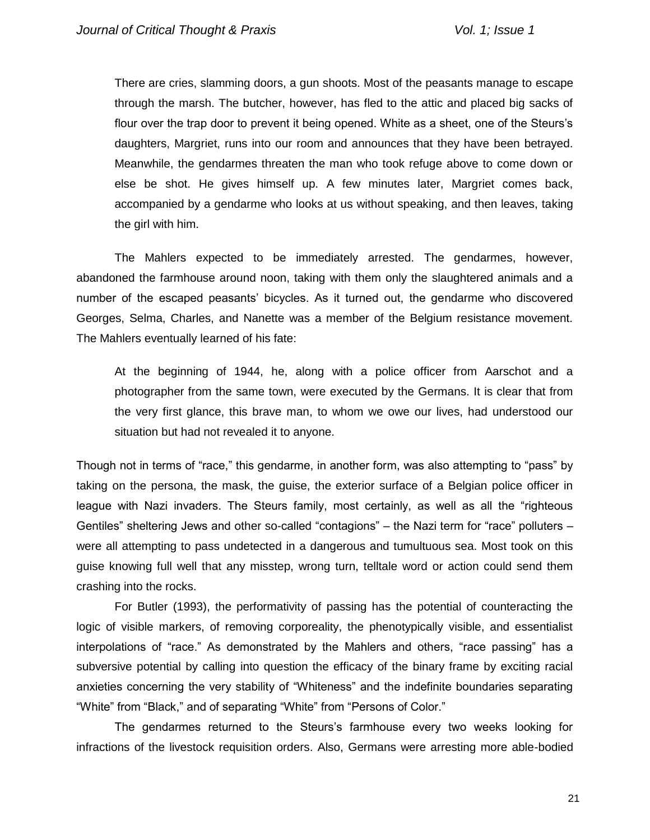There are cries, slamming doors, a gun shoots. Most of the peasants manage to escape through the marsh. The butcher, however, has fled to the attic and placed big sacks of flour over the trap door to prevent it being opened. White as a sheet, one of the Steurs's daughters, Margriet, runs into our room and announces that they have been betrayed. Meanwhile, the gendarmes threaten the man who took refuge above to come down or else be shot. He gives himself up. A few minutes later, Margriet comes back, accompanied by a gendarme who looks at us without speaking, and then leaves, taking the girl with him.

The Mahlers expected to be immediately arrested. The gendarmes, however, abandoned the farmhouse around noon, taking with them only the slaughtered animals and a number of the escaped peasants' bicycles. As it turned out, the gendarme who discovered Georges, Selma, Charles, and Nanette was a member of the Belgium resistance movement. The Mahlers eventually learned of his fate:

At the beginning of 1944, he, along with a police officer from Aarschot and a photographer from the same town, were executed by the Germans. It is clear that from the very first glance, this brave man, to whom we owe our lives, had understood our situation but had not revealed it to anyone.

Though not in terms of "race," this gendarme, in another form, was also attempting to "pass" by taking on the persona, the mask, the guise, the exterior surface of a Belgian police officer in league with Nazi invaders. The Steurs family, most certainly, as well as all the "righteous Gentiles" sheltering Jews and other so-called "contagions" – the Nazi term for "race" polluters – were all attempting to pass undetected in a dangerous and tumultuous sea. Most took on this guise knowing full well that any misstep, wrong turn, telltale word or action could send them crashing into the rocks.

For Butler (1993), the performativity of passing has the potential of counteracting the logic of visible markers, of removing corporeality, the phenotypically visible, and essentialist interpolations of "race." As demonstrated by the Mahlers and others, "race passing" has a subversive potential by calling into question the efficacy of the binary frame by exciting racial anxieties concerning the very stability of "Whiteness" and the indefinite boundaries separating "White" from "Black," and of separating "White" from "Persons of Color."

The gendarmes returned to the Steurs's farmhouse every two weeks looking for infractions of the livestock requisition orders. Also, Germans were arresting more able-bodied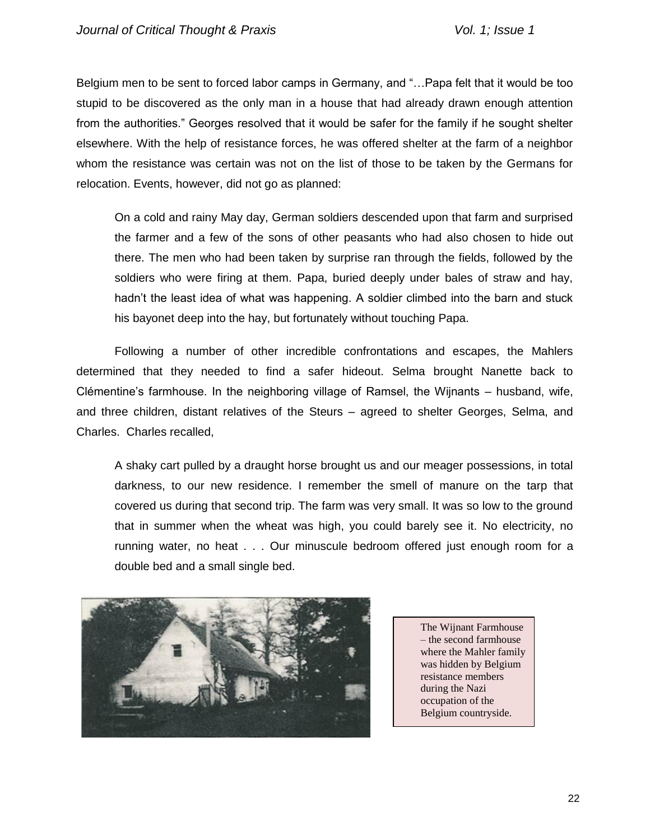Belgium men to be sent to forced labor camps in Germany, and "…Papa felt that it would be too stupid to be discovered as the only man in a house that had already drawn enough attention from the authorities." Georges resolved that it would be safer for the family if he sought shelter elsewhere. With the help of resistance forces, he was offered shelter at the farm of a neighbor whom the resistance was certain was not on the list of those to be taken by the Germans for relocation. Events, however, did not go as planned:

On a cold and rainy May day, German soldiers descended upon that farm and surprised the farmer and a few of the sons of other peasants who had also chosen to hide out there. The men who had been taken by surprise ran through the fields, followed by the soldiers who were firing at them. Papa, buried deeply under bales of straw and hay, hadn't the least idea of what was happening. A soldier climbed into the barn and stuck his bayonet deep into the hay, but fortunately without touching Papa.

Following a number of other incredible confrontations and escapes, the Mahlers determined that they needed to find a safer hideout. Selma brought Nanette back to Clémentine's farmhouse. In the neighboring village of Ramsel, the Wijnants – husband, wife, and three children, distant relatives of the Steurs – agreed to shelter Georges, Selma, and Charles. Charles recalled,

A shaky cart pulled by a draught horse brought us and our meager possessions, in total darkness, to our new residence. I remember the smell of manure on the tarp that covered us during that second trip. The farm was very small. It was so low to the ground that in summer when the wheat was high, you could barely see it. No electricity, no running water, no heat . . . Our minuscule bedroom offered just enough room for a double bed and a small single bed.



The Wijnant Farmhouse – the second farmhouse where the Mahler family was hidden by Belgium resistance members during the Nazi occupation of the Belgium countryside.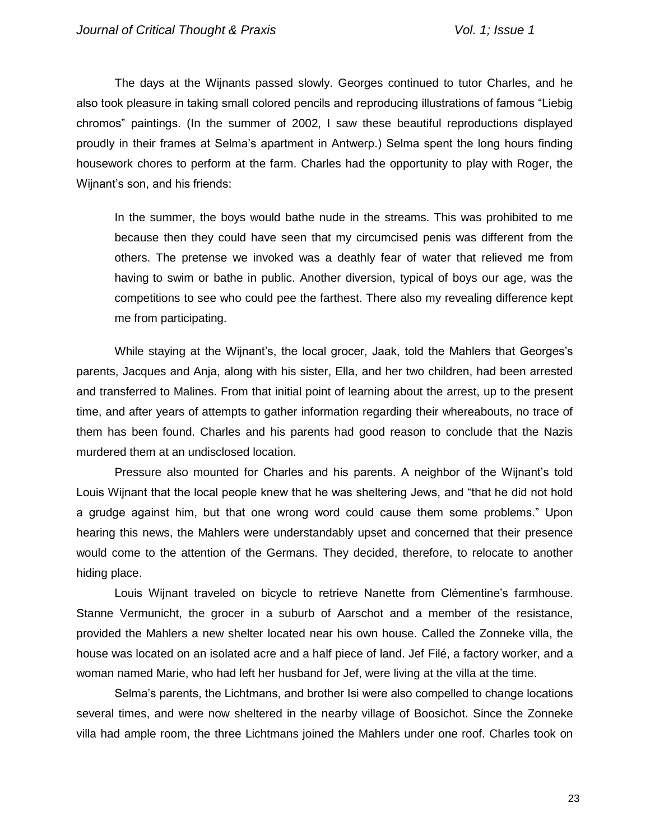The days at the Wijnants passed slowly. Georges continued to tutor Charles, and he also took pleasure in taking small colored pencils and reproducing illustrations of famous "Liebig chromos" paintings. (In the summer of 2002, I saw these beautiful reproductions displayed proudly in their frames at Selma's apartment in Antwerp.) Selma spent the long hours finding housework chores to perform at the farm. Charles had the opportunity to play with Roger, the Wijnant's son, and his friends:

In the summer, the boys would bathe nude in the streams. This was prohibited to me because then they could have seen that my circumcised penis was different from the others. The pretense we invoked was a deathly fear of water that relieved me from having to swim or bathe in public. Another diversion, typical of boys our age, was the competitions to see who could pee the farthest. There also my revealing difference kept me from participating.

While staying at the Wijnant's, the local grocer, Jaak, told the Mahlers that Georges's parents, Jacques and Anja, along with his sister, Ella, and her two children, had been arrested and transferred to Malines. From that initial point of learning about the arrest, up to the present time, and after years of attempts to gather information regarding their whereabouts, no trace of them has been found. Charles and his parents had good reason to conclude that the Nazis murdered them at an undisclosed location.

Pressure also mounted for Charles and his parents. A neighbor of the Wijnant's told Louis Wijnant that the local people knew that he was sheltering Jews, and "that he did not hold a grudge against him, but that one wrong word could cause them some problems." Upon hearing this news, the Mahlers were understandably upset and concerned that their presence would come to the attention of the Germans. They decided, therefore, to relocate to another hiding place.

Louis Wijnant traveled on bicycle to retrieve Nanette from Clémentine's farmhouse. Stanne Vermunicht, the grocer in a suburb of Aarschot and a member of the resistance, provided the Mahlers a new shelter located near his own house. Called the Zonneke villa, the house was located on an isolated acre and a half piece of land. Jef Filé, a factory worker, and a woman named Marie, who had left her husband for Jef, were living at the villa at the time.

Selma's parents, the Lichtmans, and brother Isi were also compelled to change locations several times, and were now sheltered in the nearby village of Boosichot. Since the Zonneke villa had ample room, the three Lichtmans joined the Mahlers under one roof. Charles took on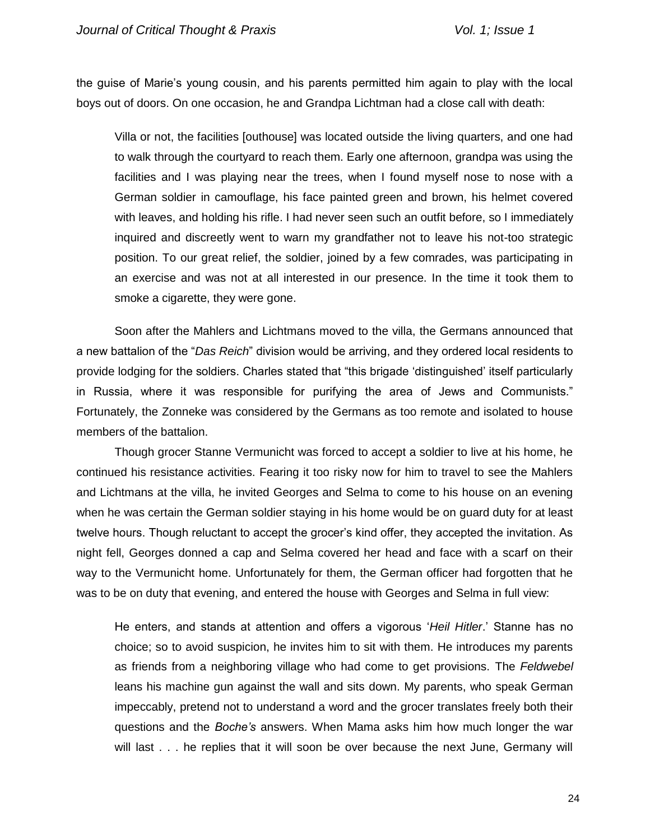the guise of Marie's young cousin, and his parents permitted him again to play with the local boys out of doors. On one occasion, he and Grandpa Lichtman had a close call with death:

Villa or not, the facilities [outhouse] was located outside the living quarters, and one had to walk through the courtyard to reach them. Early one afternoon, grandpa was using the facilities and I was playing near the trees, when I found myself nose to nose with a German soldier in camouflage, his face painted green and brown, his helmet covered with leaves, and holding his rifle. I had never seen such an outfit before, so I immediately inquired and discreetly went to warn my grandfather not to leave his not-too strategic position. To our great relief, the soldier, joined by a few comrades, was participating in an exercise and was not at all interested in our presence. In the time it took them to smoke a cigarette, they were gone.

Soon after the Mahlers and Lichtmans moved to the villa, the Germans announced that a new battalion of the "*Das Reich*" division would be arriving, and they ordered local residents to provide lodging for the soldiers. Charles stated that "this brigade 'distinguished' itself particularly in Russia, where it was responsible for purifying the area of Jews and Communists." Fortunately, the Zonneke was considered by the Germans as too remote and isolated to house members of the battalion.

Though grocer Stanne Vermunicht was forced to accept a soldier to live at his home, he continued his resistance activities. Fearing it too risky now for him to travel to see the Mahlers and Lichtmans at the villa, he invited Georges and Selma to come to his house on an evening when he was certain the German soldier staying in his home would be on guard duty for at least twelve hours. Though reluctant to accept the grocer's kind offer, they accepted the invitation. As night fell, Georges donned a cap and Selma covered her head and face with a scarf on their way to the Vermunicht home. Unfortunately for them, the German officer had forgotten that he was to be on duty that evening, and entered the house with Georges and Selma in full view:

He enters, and stands at attention and offers a vigorous '*Heil Hitler*.' Stanne has no choice; so to avoid suspicion, he invites him to sit with them. He introduces my parents as friends from a neighboring village who had come to get provisions. The *Feldwebel* leans his machine gun against the wall and sits down. My parents, who speak German impeccably, pretend not to understand a word and the grocer translates freely both their questions and the *Boche's* answers. When Mama asks him how much longer the war will last . . . he replies that it will soon be over because the next June, Germany will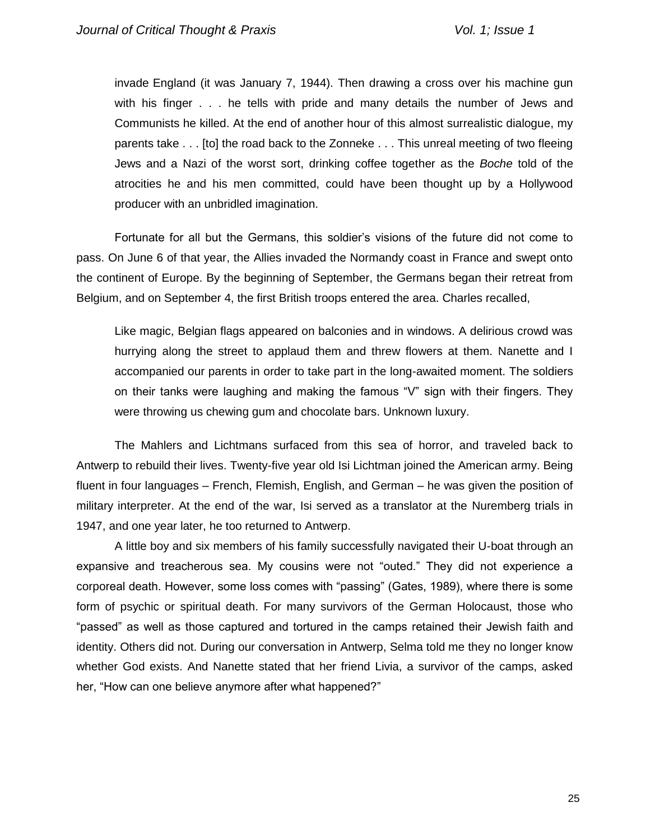invade England (it was January 7, 1944). Then drawing a cross over his machine gun with his finger . . . he tells with pride and many details the number of Jews and Communists he killed. At the end of another hour of this almost surrealistic dialogue, my parents take . . . [to] the road back to the Zonneke . . . This unreal meeting of two fleeing Jews and a Nazi of the worst sort, drinking coffee together as the *Boche* told of the atrocities he and his men committed, could have been thought up by a Hollywood producer with an unbridled imagination.

Fortunate for all but the Germans, this soldier's visions of the future did not come to pass. On June 6 of that year, the Allies invaded the Normandy coast in France and swept onto the continent of Europe. By the beginning of September, the Germans began their retreat from Belgium, and on September 4, the first British troops entered the area. Charles recalled,

Like magic, Belgian flags appeared on balconies and in windows. A delirious crowd was hurrying along the street to applaud them and threw flowers at them. Nanette and I accompanied our parents in order to take part in the long-awaited moment. The soldiers on their tanks were laughing and making the famous "V" sign with their fingers. They were throwing us chewing gum and chocolate bars. Unknown luxury.

The Mahlers and Lichtmans surfaced from this sea of horror, and traveled back to Antwerp to rebuild their lives. Twenty-five year old Isi Lichtman joined the American army. Being fluent in four languages – French, Flemish, English, and German – he was given the position of military interpreter. At the end of the war, Isi served as a translator at the Nuremberg trials in 1947, and one year later, he too returned to Antwerp.

A little boy and six members of his family successfully navigated their U-boat through an expansive and treacherous sea. My cousins were not "outed." They did not experience a corporeal death. However, some loss comes with "passing" (Gates, 1989), where there is some form of psychic or spiritual death. For many survivors of the German Holocaust, those who "passed" as well as those captured and tortured in the camps retained their Jewish faith and identity. Others did not. During our conversation in Antwerp, Selma told me they no longer know whether God exists. And Nanette stated that her friend Livia, a survivor of the camps, asked her, "How can one believe anymore after what happened?"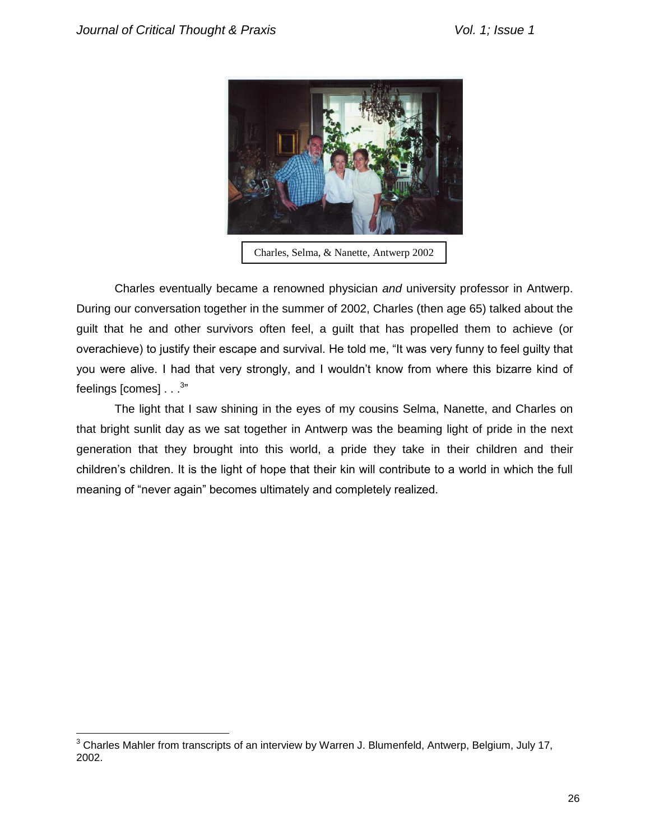$\overline{a}$ 



Charles, Selma, & Nanette, Antwerp 2002

Charles eventually became a renowned physician *and* university professor in Antwerp. During our conversation together in the summer of 2002, Charles (then age 65) talked about the guilt that he and other survivors often feel, a guilt that has propelled them to achieve (or overachieve) to justify their escape and survival. He told me, "It was very funny to feel guilty that you were alive. I had that very strongly, and I wouldn't know from where this bizarre kind of feelings [comes]  $\ldots^{3^n}$ 

The light that I saw shining in the eyes of my cousins Selma, Nanette, and Charles on that bright sunlit day as we sat together in Antwerp was the beaming light of pride in the next generation that they brought into this world, a pride they take in their children and their children's children. It is the light of hope that their kin will contribute to a world in which the full meaning of "never again" becomes ultimately and completely realized.

 $3$  Charles Mahler from transcripts of an interview by Warren J. Blumenfeld, Antwerp, Belgium, July 17, 2002.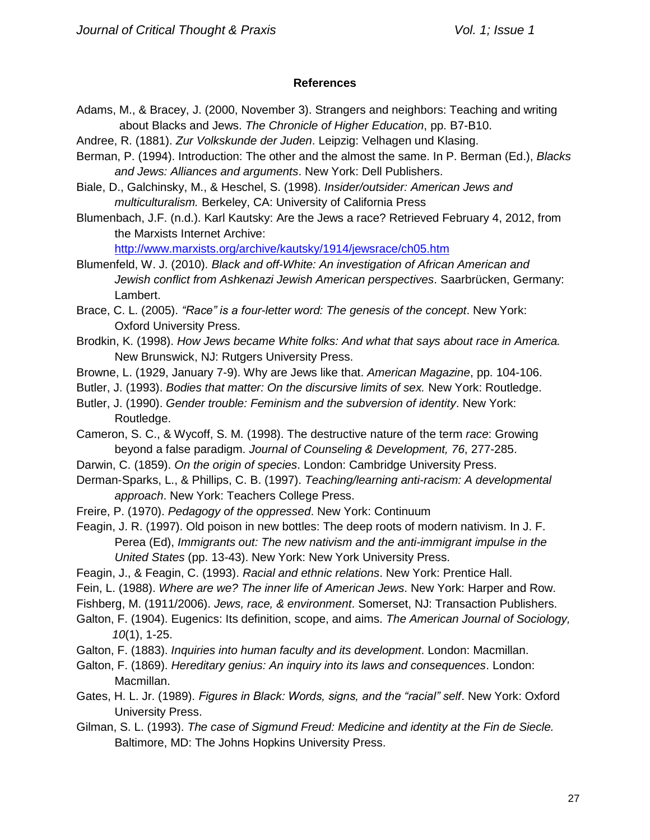# **References**

- Adams, M., & Bracey, J. (2000, November 3). Strangers and neighbors: Teaching and writing about Blacks and Jews. *The Chronicle of Higher Education*, pp. B7-B10.
- Andree, R. (1881). *Zur Volkskunde der Juden*. Leipzig: Velhagen und Klasing.
- Berman, P. (1994). Introduction: The other and the almost the same. In P. Berman (Ed.), *Blacks and Jews: Alliances and arguments*. New York: Dell Publishers.
- Biale, D., Galchinsky, M., & Heschel, S. (1998). *Insider/outsider: American Jews and multiculturalism.* Berkeley, CA: University of California Press
- Blumenbach, J.F. (n.d.). Karl Kautsky: Are the Jews a race? Retrieved February 4, 2012, from the Marxists Internet Archive:

<http://www.marxists.org/archive/kautsky/1914/jewsrace/ch05.htm>

- Blumenfeld, W. J. (2010). *Black and off-White: An investigation of African American and Jewish conflict from Ashkenazi Jewish American perspectives*. Saarbrücken, Germany: Lambert.
- Brace, C. L. (2005). *"Race" is a four-letter word: The genesis of the concept*. New York: Oxford University Press.
- Brodkin, K. (1998). *How Jews became White folks: And what that says about race in America.*  New Brunswick, NJ: Rutgers University Press.
- Browne, L. (1929, January 7-9). Why are Jews like that. *American Magazine*, pp. 104-106.
- Butler, J. (1993). *Bodies that matter: On the discursive limits of sex.* New York: Routledge.
- Butler, J. (1990). *Gender trouble: Feminism and the subversion of identity*. New York: Routledge.
- Cameron, S. C., & Wycoff, S. M. (1998). The destructive nature of the term *race*: Growing beyond a false paradigm. *Journal of Counseling & Development, 76*, 277-285.
- Darwin, C. (1859). *On the origin of species*. London: Cambridge University Press.
- Derman-Sparks, L., & Phillips, C. B. (1997). *Teaching/learning anti-racism: A developmental approach*. New York: Teachers College Press.
- Freire, P. (1970). *Pedagogy of the oppressed*. New York: Continuum
- Feagin, J. R. (1997). Old poison in new bottles: The deep roots of modern nativism. In J. F. Perea (Ed), *Immigrants out: The new nativism and the anti-immigrant impulse in the United States* (pp. 13-43). New York: New York University Press.
- Feagin, J., & Feagin, C. (1993). *Racial and ethnic relations*. New York: Prentice Hall.
- Fein, L. (1988). *Where are we? The inner life of American Jews*. New York: Harper and Row.
- Fishberg, M. (1911/2006). *Jews, race, & environment*. Somerset, NJ: Transaction Publishers.
- Galton, F. (1904). Eugenics: Its definition, scope, and aims. *The American Journal of Sociology, 10*(1), 1-25.
- Galton, F. (1883). *Inquiries into human faculty and its development*. London: Macmillan.
- Galton, F. (1869). *Hereditary genius: An inquiry into its laws and consequences*. London: Macmillan.
- Gates, H. L. Jr. (1989). *Figures in Black: Words, signs, and the "racial" self*. New York: Oxford University Press.
- Gilman, S. L. (1993). *The case of Sigmund Freud: Medicine and identity at the Fin de Siecle.*  Baltimore, MD: The Johns Hopkins University Press.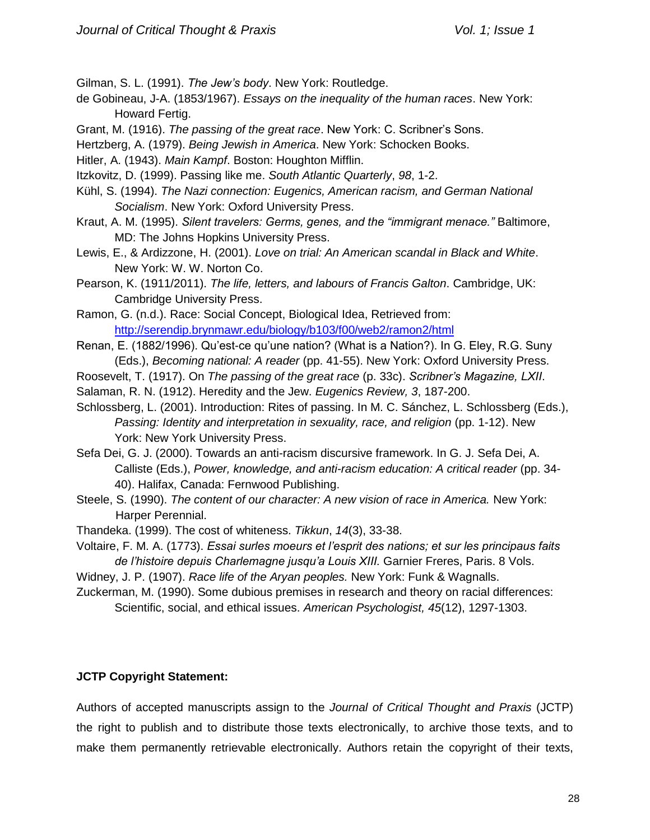Gilman, S. L. (1991). *The Jew's body*. New York: Routledge.

- de Gobineau, J-A. (1853/1967). *Essays on the inequality of the human races*. New York: Howard Fertig.
- Grant, M. (1916). *The passing of the great race*. New York: C. Scribner's Sons.
- Hertzberg, A. (1979). *Being Jewish in America*. New York: Schocken Books.
- Hitler, A. (1943). *Main Kampf*. Boston: Houghton Mifflin.
- Itzkovitz, D. (1999). Passing like me. *South Atlantic Quarterly*, *98*, 1-2.
- Kühl, S. (1994). *The Nazi connection: Eugenics, American racism, and German National Socialism*. New York: Oxford University Press.
- Kraut, A. M. (1995). *Silent travelers: Germs, genes, and the "immigrant menace."* Baltimore, MD: The Johns Hopkins University Press.
- Lewis, E., & Ardizzone, H. (2001). *Love on trial: An American scandal in Black and White*. New York: W. W. Norton Co.
- Pearson, K. (1911/2011). *The life, letters, and labours of Francis Galton*. Cambridge, UK: Cambridge University Press.
- Ramon, G. (n.d.). Race: Social Concept, Biological Idea, Retrieved from: <http://serendip.brynmawr.edu/biology/b103/f00/web2/ramon2/html>
- Renan, E. (1882/1996). Qu'est-ce qu'une nation? (What is a Nation?). In G. Eley, R.G. Suny (Eds.), *Becoming national: A reader* (pp. 41-55). New York: Oxford University Press.
- Roosevelt, T. (1917). On *The passing of the great race* (p. 33c). *Scribner's Magazine, LXII*.
- Salaman, R. N. (1912). Heredity and the Jew. *Eugenics Review, 3*, 187-200.
- Schlossberg, L. (2001). Introduction: Rites of passing. In M. C. Sánchez, L. Schlossberg (Eds.), *Passing: Identity and interpretation in sexuality, race, and religion* (pp. 1-12). New York: New York University Press.
- Sefa Dei, G. J. (2000). Towards an anti-racism discursive framework. In G. J. Sefa Dei, A. Calliste (Eds.), *Power, knowledge, and anti-racism education: A critical reader* (pp. 34- 40). Halifax, Canada: Fernwood Publishing.
- Steele, S. (1990). *The content of our character: A new vision of race in America.* New York: Harper Perennial.
- Thandeka. (1999). The cost of whiteness. *Tikkun*, *14*(3), 33-38.
- Voltaire, F. M. A. (1773). *Essai surles moeurs et l'esprit des nations; et sur les principaus faits de l'histoire depuis Charlemagne jusqu'a Louis XIII.* Garnier Freres, Paris. 8 Vols.
- Widney, J. P. (1907). *Race life of the Aryan peoples.* New York: Funk & Wagnalls.
- Zuckerman, M. (1990). Some dubious premises in research and theory on racial differences: Scientific, social, and ethical issues. *American Psychologist, 45*(12), 1297-1303.

# **JCTP Copyright Statement:**

Authors of accepted manuscripts assign to the *Journal of Critical Thought and Praxis* (JCTP) the right to publish and to distribute those texts electronically, to archive those texts, and to make them permanently retrievable electronically. Authors retain the copyright of their texts,